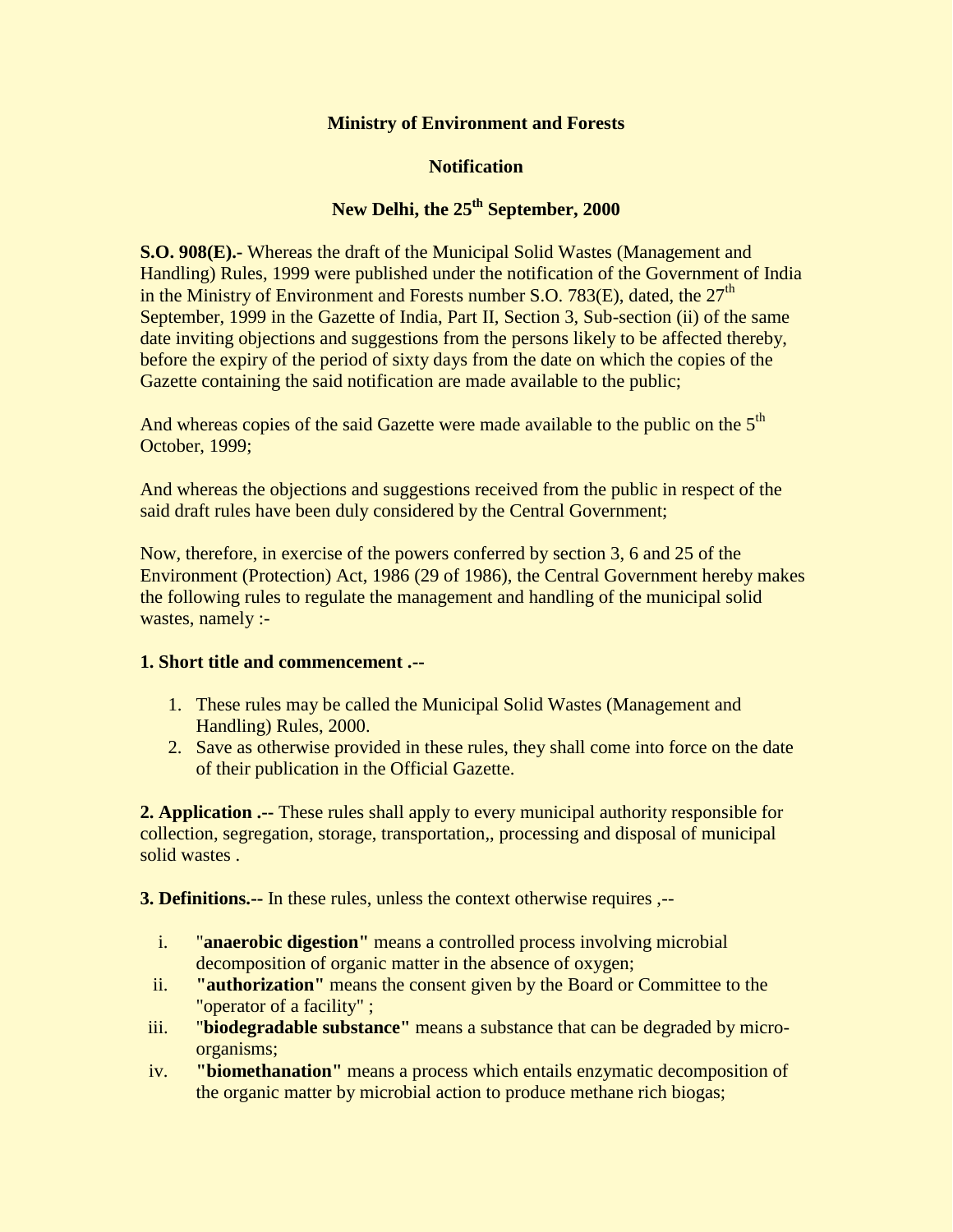#### **Ministry of Environment and Forests**

## **Notification**

# **New Delhi, the 25th September, 2000**

**S.O. 908(E).**- Whereas the draft of the Municipal Solid Wastes (Management and Handling) Rules, 1999 were published under the notification of the Government of India in the Ministry of Environment and Forests number S.O. 783 $(E)$ , dated, the 27<sup>th</sup> September, 1999 in the Gazette of India, Part II, Section 3, Sub-section (ii) of the same date inviting objections and suggestions from the persons likely to be affected thereby, before the expiry of the period of sixty days from the date on which the copies of the Gazette containing the said notification are made available to the public;

And whereas copies of the said Gazette were made available to the public on the 5<sup>th</sup> October, 1999;

And whereas the objections and suggestions received from the public in respect of the said draft rules have been duly considered by the Central Government;

Now, therefore, in exercise of the powers conferred by section 3, 6 and 25 of the Environment (Protection) Act, 1986 (29 of 1986), the Central Government hereby makes the following rules to regulate the management and handling of the municipal solid wastes, namely :-

## **1. Short title and commencement .--**

- 1. These rules may be called the Municipal Solid Wastes (Management and Handling) Rules, 2000.
- 2. Save as otherwise provided in these rules, they shall come into force on the date of their publication in the Official Gazette.

**2. Application .--** These rules shall apply to every municipal authority responsible for collection, segregation, storage, transportation,, processing and disposal of municipal solid wastes .

**3. Definitions.--** In these rules, unless the context otherwise requires ,--

- i. "**anaerobic digestion"** means a controlled process involving microbial decomposition of organic matter in the absence of oxygen;
- ii. **"authorization"** means the consent given by the Board or Committee to the "operator of a facility" ;
- iii. "**biodegradable substance"** means a substance that can be degraded by microorganisms;
- iv. **"biomethanation"** means a process which entails enzymatic decomposition of the organic matter by microbial action to produce methane rich biogas;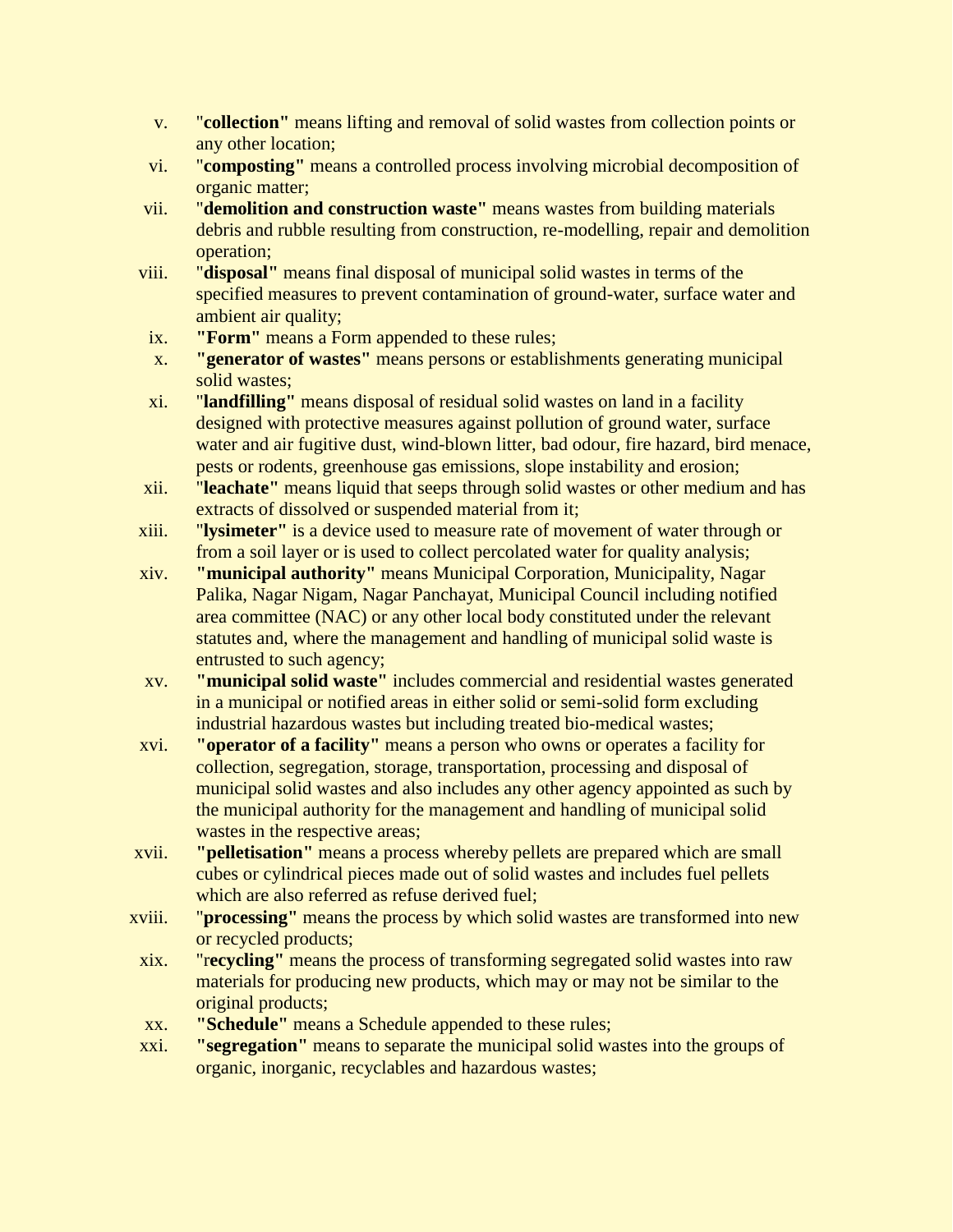- v. "**collection"** means lifting and removal of solid wastes from collection points or any other location;
- vi. "**composting"** means a controlled process involving microbial decomposition of organic matter;
- vii. "**demolition and construction waste"** means wastes from building materials debris and rubble resulting from construction, re-modelling, repair and demolition operation;
- viii. "**disposal"** means final disposal of municipal solid wastes in terms of the specified measures to prevent contamination of ground-water, surface water and ambient air quality;
- ix. **"Form"** means a Form appended to these rules;
- x. **"generator of wastes"** means persons or establishments generating municipal solid wastes;
- xi. "**landfilling"** means disposal of residual solid wastes on land in a facility designed with protective measures against pollution of ground water, surface water and air fugitive dust, wind-blown litter, bad odour, fire hazard, bird menace, pests or rodents, greenhouse gas emissions, slope instability and erosion;
- xii. "**leachate"** means liquid that seeps through solid wastes or other medium and has extracts of dissolved or suspended material from it;
- xiii. "**lysimeter"** is a device used to measure rate of movement of water through or from a soil layer or is used to collect percolated water for quality analysis;
- xiv. **"municipal authority"** means Municipal Corporation, Municipality, Nagar Palika, Nagar Nigam, Nagar Panchayat, Municipal Council including notified area committee (NAC) or any other local body constituted under the relevant statutes and, where the management and handling of municipal solid waste is entrusted to such agency;
- xv. **"municipal solid waste"** includes commercial and residential wastes generated in a municipal or notified areas in either solid or semi-solid form excluding industrial hazardous wastes but including treated bio-medical wastes;
- xvi. **"operator of a facility"** means a person who owns or operates a facility for collection, segregation, storage, transportation, processing and disposal of municipal solid wastes and also includes any other agency appointed as such by the municipal authority for the management and handling of municipal solid wastes in the respective areas;
- xvii. **"pelletisation"** means a process whereby pellets are prepared which are small cubes or cylindrical pieces made out of solid wastes and includes fuel pellets which are also referred as refuse derived fuel;
- xviii. "**processing"** means the process by which solid wastes are transformed into new or recycled products;
- xix. "r**ecycling"** means the process of transforming segregated solid wastes into raw materials for producing new products, which may or may not be similar to the original products;
- xx. **"Schedule"** means a Schedule appended to these rules;
- xxi. **"segregation"** means to separate the municipal solid wastes into the groups of organic, inorganic, recyclables and hazardous wastes;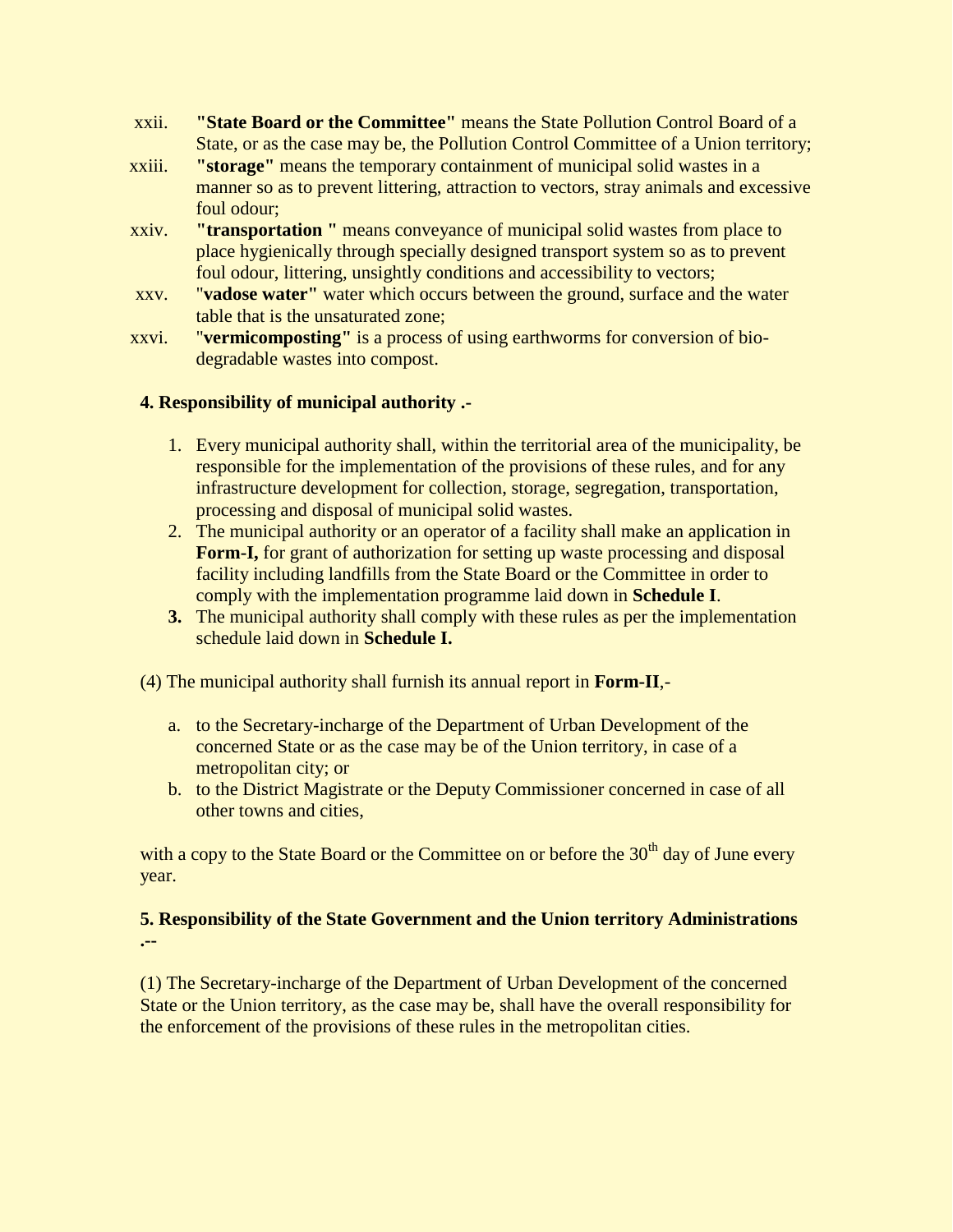- xxii. **"State Board or the Committee"** means the State Pollution Control Board of a State, or as the case may be, the Pollution Control Committee of a Union territory;
- xxiii. **"storage"** means the temporary containment of municipal solid wastes in a manner so as to prevent littering, attraction to vectors, stray animals and excessive foul odour;
- xxiv. **"transportation "** means conveyance of municipal solid wastes from place to place hygienically through specially designed transport system so as to prevent foul odour, littering, unsightly conditions and accessibility to vectors;
- xxv. "**vadose water"** water which occurs between the ground, surface and the water table that is the unsaturated zone;
- xxvi. "**vermicomposting"** is a process of using earthworms for conversion of biodegradable wastes into compost.

## **4. Responsibility of municipal authority .-**

- 1. Every municipal authority shall, within the territorial area of the municipality, be responsible for the implementation of the provisions of these rules, and for any infrastructure development for collection, storage, segregation, transportation, processing and disposal of municipal solid wastes.
- 2. The municipal authority or an operator of a facility shall make an application in **Form-I,** for grant of authorization for setting up waste processing and disposal facility including landfills from the State Board or the Committee in order to comply with the implementation programme laid down in **Schedule I**.
- **3.** The municipal authority shall comply with these rules as per the implementation schedule laid down in **Schedule I.**
- (4) The municipal authority shall furnish its annual report in **Form-II**,
	- a. to the Secretary-incharge of the Department of Urban Development of the concerned State or as the case may be of the Union territory, in case of a metropolitan city; or
	- b. to the District Magistrate or the Deputy Commissioner concerned in case of all other towns and cities,

with a copy to the State Board or the Committee on or before the  $30<sup>th</sup>$  day of June every year.

## **5. Responsibility of the State Government and the Union territory Administrations .--**

(1) The Secretary-incharge of the Department of Urban Development of the concerned State or the Union territory, as the case may be, shall have the overall responsibility for the enforcement of the provisions of these rules in the metropolitan cities.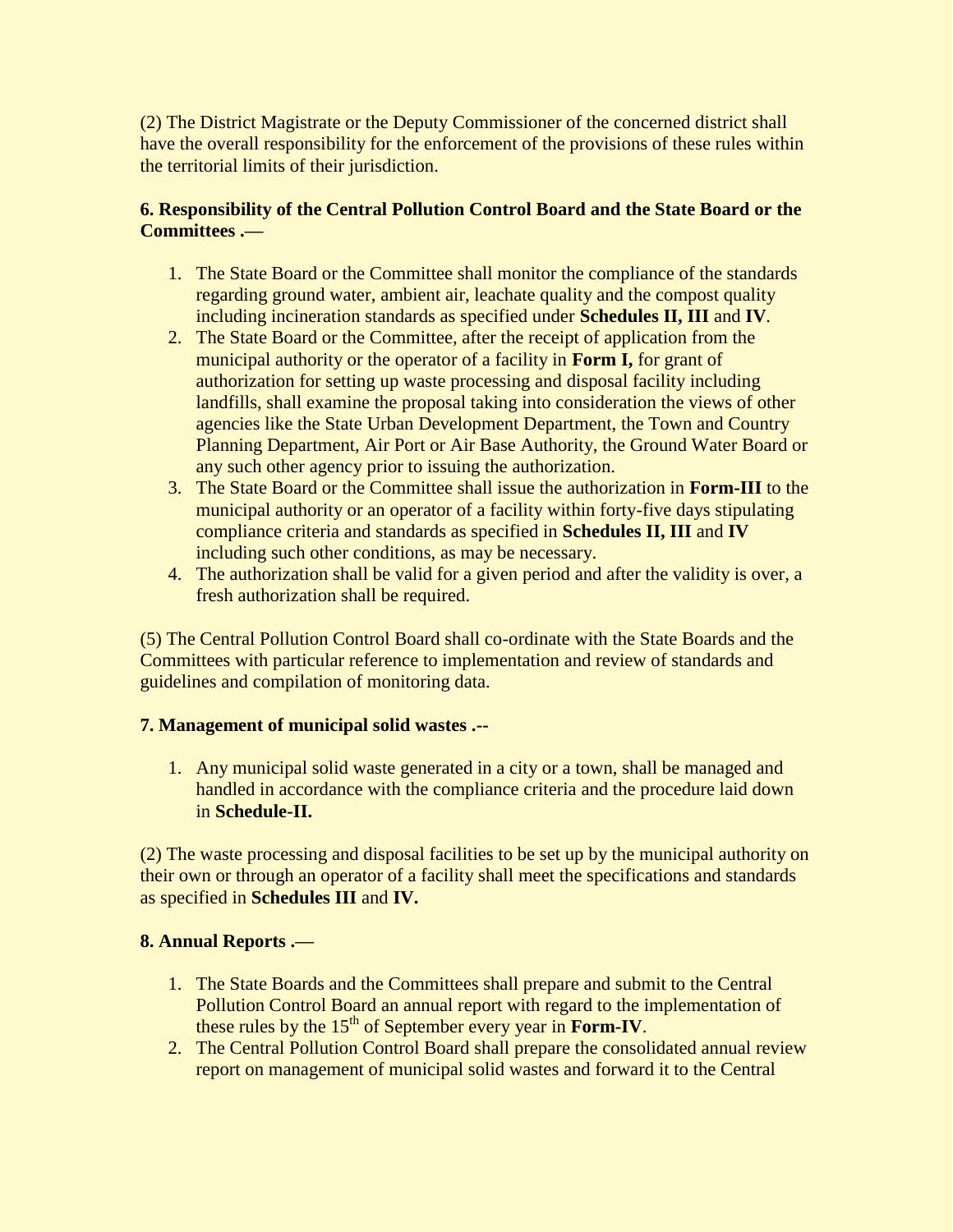(2) The District Magistrate or the Deputy Commissioner of the concerned district shall have the overall responsibility for the enforcement of the provisions of these rules within the territorial limits of their jurisdiction.

## **6. Responsibility of the Central Pollution Control Board and the State Board or the Committees .—**

- 1. The State Board or the Committee shall monitor the compliance of the standards regarding ground water, ambient air, leachate quality and the compost quality including incineration standards as specified under **Schedules II, III** and **IV**.
- 2. The State Board or the Committee, after the receipt of application from the municipal authority or the operator of a facility in **Form I,** for grant of authorization for setting up waste processing and disposal facility including landfills, shall examine the proposal taking into consideration the views of other agencies like the State Urban Development Department, the Town and Country Planning Department, Air Port or Air Base Authority, the Ground Water Board or any such other agency prior to issuing the authorization.
- 3. The State Board or the Committee shall issue the authorization in **Form-III** to the municipal authority or an operator of a facility within forty-five days stipulating compliance criteria and standards as specified in **Schedules II, III** and **IV** including such other conditions, as may be necessary.
- 4. The authorization shall be valid for a given period and after the validity is over, a fresh authorization shall be required.

(5) The Central Pollution Control Board shall co-ordinate with the State Boards and the Committees with particular reference to implementation and review of standards and guidelines and compilation of monitoring data.

## **7. Management of municipal solid wastes .--**

1. Any municipal solid waste generated in a city or a town, shall be managed and handled in accordance with the compliance criteria and the procedure laid down in **Schedule-II.**

(2) The waste processing and disposal facilities to be set up by the municipal authority on their own or through an operator of a facility shall meet the specifications and standards as specified in **Schedules III** and **IV.** 

## **8. Annual Reports .—**

- 1. The State Boards and the Committees shall prepare and submit to the Central Pollution Control Board an annual report with regard to the implementation of these rules by the  $15<sup>th</sup>$  of September every year in **Form-IV**.
- 2. The Central Pollution Control Board shall prepare the consolidated annual review report on management of municipal solid wastes and forward it to the Central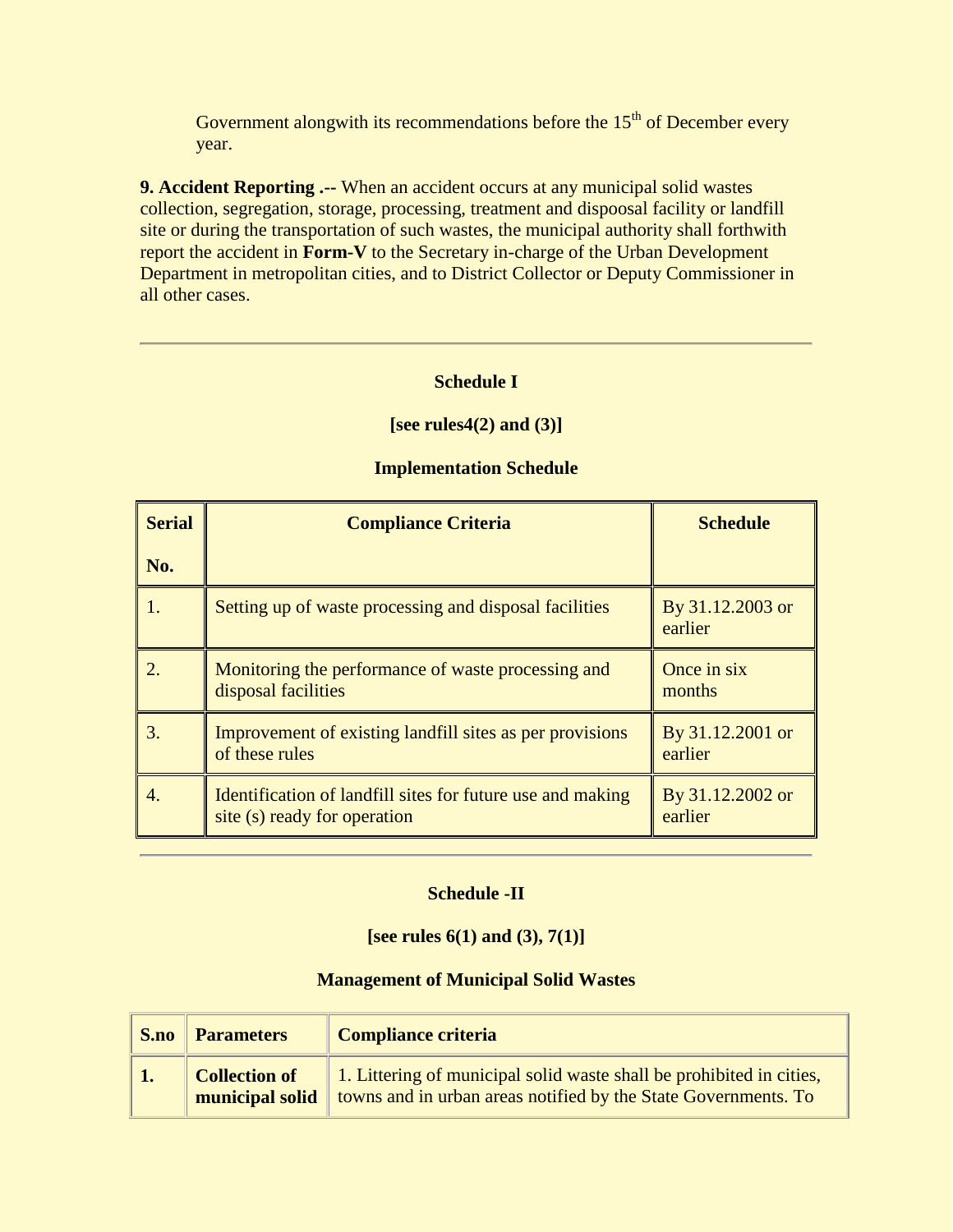Government alongwith its recommendations before the  $15<sup>th</sup>$  of December every year.

**9. Accident Reporting .--** When an accident occurs at any municipal solid wastes collection, segregation, storage, processing, treatment and dispoosal facility or landfill site or during the transportation of such wastes, the municipal authority shall forthwith report the accident in **Form-V** to the Secretary in-charge of the Urban Development Department in metropolitan cities, and to District Collector or Deputy Commissioner in all other cases.

## **Schedule I**

#### **[see rules4(2) and (3)]**

| <b>Serial</b> | <b>Compliance Criteria</b>                                                                 | <b>Schedule</b>             |
|---------------|--------------------------------------------------------------------------------------------|-----------------------------|
| No.           |                                                                                            |                             |
|               | Setting up of waste processing and disposal facilities                                     | By 31.12.2003 or<br>earlier |
|               | Monitoring the performance of waste processing and<br>disposal facilities                  | Once in six<br>months       |
| 3.            | Improvement of existing landfill sites as per provisions<br>of these rules                 | By 31.12.2001 or<br>earlier |
| 4.            | Identification of landfill sites for future use and making<br>site (s) ready for operation | By 31.12.2002 or<br>earlier |

#### **Implementation Schedule**

#### **Schedule -II**

#### **[see rules 6(1) and (3), 7(1)]**

#### **Management of Municipal Solid Wastes**

| S.no | <b>Parameters</b> | <b>Compliance criteria</b>                                                                                                                                    |  |
|------|-------------------|---------------------------------------------------------------------------------------------------------------------------------------------------------------|--|
|      | Collection of     | 1. Littering of municipal solid waste shall be prohibited in cities,<br><b>nunicipal solid</b> towns and in urban areas notified by the State Governments. To |  |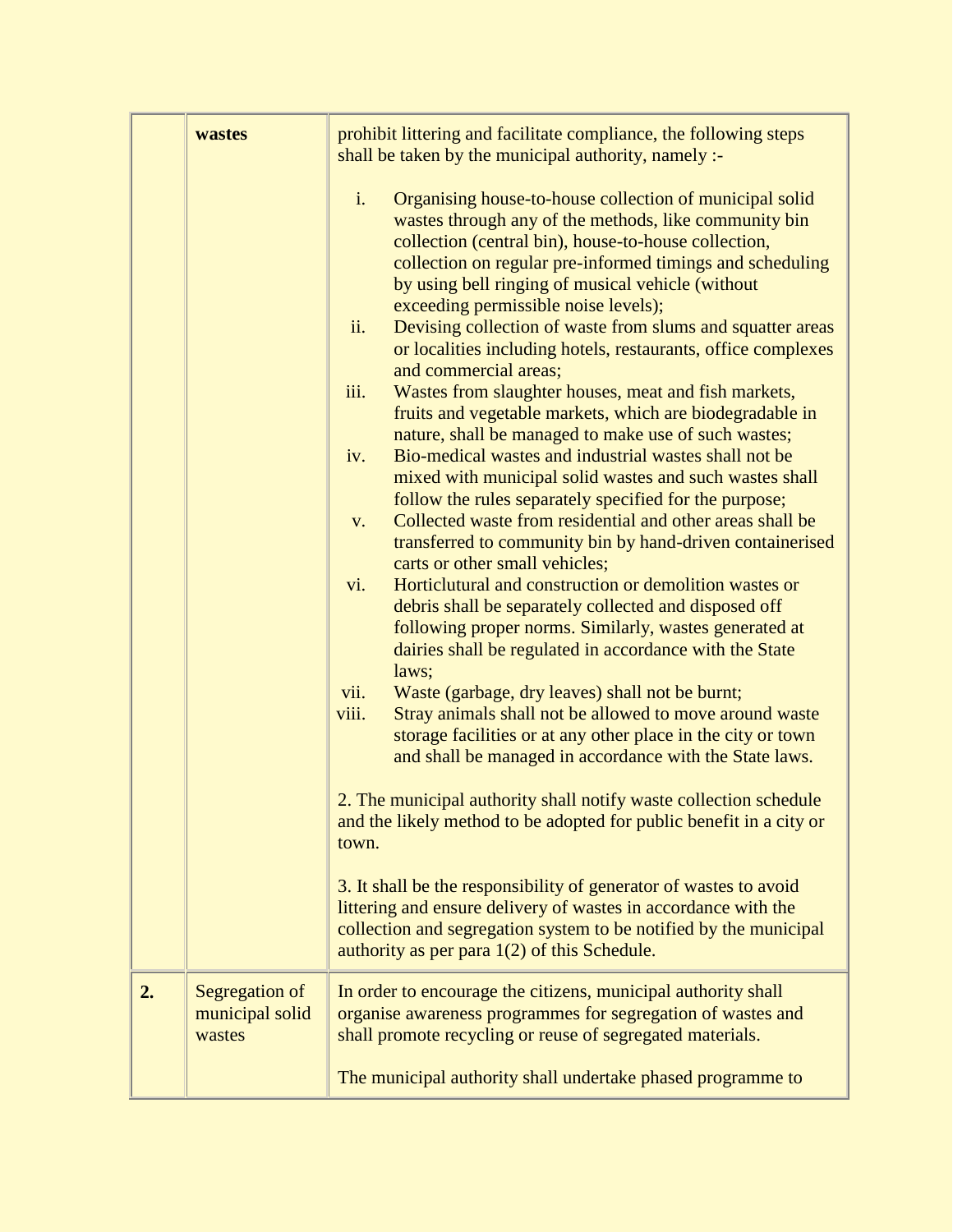|    | wastes                                      | prohibit littering and facilitate compliance, the following steps<br>shall be taken by the municipal authority, namely :-                                                                                                                                                                                                                                                                                                                                                                                                                                                                                                                                                                                                                                                                                                                                                                                                                                                                                                                                                                                                                                                                                                                                                                         |  |  |
|----|---------------------------------------------|---------------------------------------------------------------------------------------------------------------------------------------------------------------------------------------------------------------------------------------------------------------------------------------------------------------------------------------------------------------------------------------------------------------------------------------------------------------------------------------------------------------------------------------------------------------------------------------------------------------------------------------------------------------------------------------------------------------------------------------------------------------------------------------------------------------------------------------------------------------------------------------------------------------------------------------------------------------------------------------------------------------------------------------------------------------------------------------------------------------------------------------------------------------------------------------------------------------------------------------------------------------------------------------------------|--|--|
|    |                                             | i.<br>Organising house-to-house collection of municipal solid<br>wastes through any of the methods, like community bin<br>collection (central bin), house-to-house collection,<br>collection on regular pre-informed timings and scheduling<br>by using bell ringing of musical vehicle (without<br>exceeding permissible noise levels);<br>ii.<br>Devising collection of waste from slums and squatter areas<br>or localities including hotels, restaurants, office complexes<br>and commercial areas;<br>Wastes from slaughter houses, meat and fish markets,<br>iii.<br>fruits and vegetable markets, which are biodegradable in<br>nature, shall be managed to make use of such wastes;<br>Bio-medical wastes and industrial wastes shall not be<br>iv.<br>mixed with municipal solid wastes and such wastes shall<br>follow the rules separately specified for the purpose;<br>Collected waste from residential and other areas shall be<br>V.<br>transferred to community bin by hand-driven containerised<br>carts or other small vehicles;<br>vi.<br>Horticlutural and construction or demolition wastes or<br>debris shall be separately collected and disposed off<br>following proper norms. Similarly, wastes generated at<br>dairies shall be regulated in accordance with the State |  |  |
|    |                                             | laws;<br>Waste (garbage, dry leaves) shall not be burnt;<br>vii.<br>Stray animals shall not be allowed to move around waste<br>viii.<br>storage facilities or at any other place in the city or town<br>and shall be managed in accordance with the State laws.                                                                                                                                                                                                                                                                                                                                                                                                                                                                                                                                                                                                                                                                                                                                                                                                                                                                                                                                                                                                                                   |  |  |
|    |                                             | 2. The municipal authority shall notify waste collection schedule<br>and the likely method to be adopted for public benefit in a city or<br>town.                                                                                                                                                                                                                                                                                                                                                                                                                                                                                                                                                                                                                                                                                                                                                                                                                                                                                                                                                                                                                                                                                                                                                 |  |  |
|    |                                             | 3. It shall be the responsibility of generator of wastes to avoid<br>littering and ensure delivery of wastes in accordance with the<br>collection and segregation system to be notified by the municipal<br>authority as per para $1(2)$ of this Schedule.                                                                                                                                                                                                                                                                                                                                                                                                                                                                                                                                                                                                                                                                                                                                                                                                                                                                                                                                                                                                                                        |  |  |
| 2. | Segregation of<br>municipal solid<br>wastes | In order to encourage the citizens, municipal authority shall<br>organise awareness programmes for segregation of wastes and<br>shall promote recycling or reuse of segregated materials.                                                                                                                                                                                                                                                                                                                                                                                                                                                                                                                                                                                                                                                                                                                                                                                                                                                                                                                                                                                                                                                                                                         |  |  |
|    |                                             | The municipal authority shall undertake phased programme to                                                                                                                                                                                                                                                                                                                                                                                                                                                                                                                                                                                                                                                                                                                                                                                                                                                                                                                                                                                                                                                                                                                                                                                                                                       |  |  |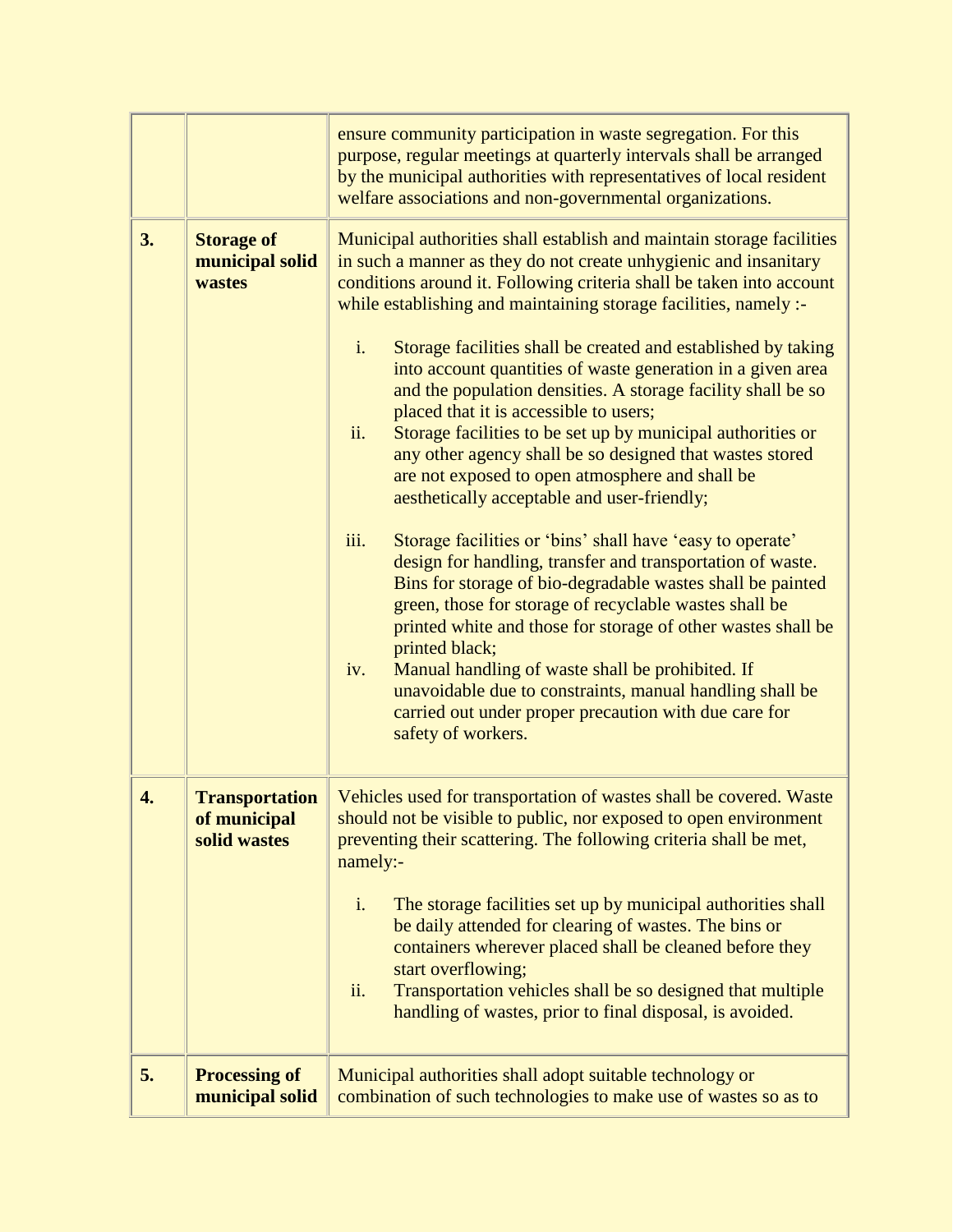|    |                                                       | ensure community participation in waste segregation. For this<br>purpose, regular meetings at quarterly intervals shall be arranged<br>by the municipal authorities with representatives of local resident<br>welfare associations and non-governmental organizations.                                                                                                                                                                                                                                                                          |  |  |
|----|-------------------------------------------------------|-------------------------------------------------------------------------------------------------------------------------------------------------------------------------------------------------------------------------------------------------------------------------------------------------------------------------------------------------------------------------------------------------------------------------------------------------------------------------------------------------------------------------------------------------|--|--|
| 3. | <b>Storage of</b><br>municipal solid<br>wastes        | Municipal authorities shall establish and maintain storage facilities<br>in such a manner as they do not create unhygienic and insanitary<br>conditions around it. Following criteria shall be taken into account<br>while establishing and maintaining storage facilities, namely :-                                                                                                                                                                                                                                                           |  |  |
|    |                                                       | i.<br>Storage facilities shall be created and established by taking<br>into account quantities of waste generation in a given area<br>and the population densities. A storage facility shall be so<br>placed that it is accessible to users;<br>ii.<br>Storage facilities to be set up by municipal authorities or<br>any other agency shall be so designed that wastes stored<br>are not exposed to open atmosphere and shall be<br>aesthetically acceptable and user-friendly;                                                                |  |  |
|    |                                                       | iii.<br>Storage facilities or 'bins' shall have 'easy to operate'<br>design for handling, transfer and transportation of waste.<br>Bins for storage of bio-degradable wastes shall be painted<br>green, those for storage of recyclable wastes shall be<br>printed white and those for storage of other wastes shall be<br>printed black;<br>Manual handling of waste shall be prohibited. If<br>iv.<br>unavoidable due to constraints, manual handling shall be<br>carried out under proper precaution with due care for<br>safety of workers. |  |  |
| 4. | <b>Transportation</b><br>of municipal<br>solid wastes | Vehicles used for transportation of wastes shall be covered. Waste<br>should not be visible to public, nor exposed to open environment<br>preventing their scattering. The following criteria shall be met,<br>namely:-                                                                                                                                                                                                                                                                                                                         |  |  |
|    |                                                       | i.<br>The storage facilities set up by municipal authorities shall<br>be daily attended for clearing of wastes. The bins or<br>containers wherever placed shall be cleaned before they<br>start overflowing;<br>ii.<br>Transportation vehicles shall be so designed that multiple<br>handling of wastes, prior to final disposal, is avoided.                                                                                                                                                                                                   |  |  |
| 5. | <b>Processing of</b><br>municipal solid               | Municipal authorities shall adopt suitable technology or<br>combination of such technologies to make use of wastes so as to                                                                                                                                                                                                                                                                                                                                                                                                                     |  |  |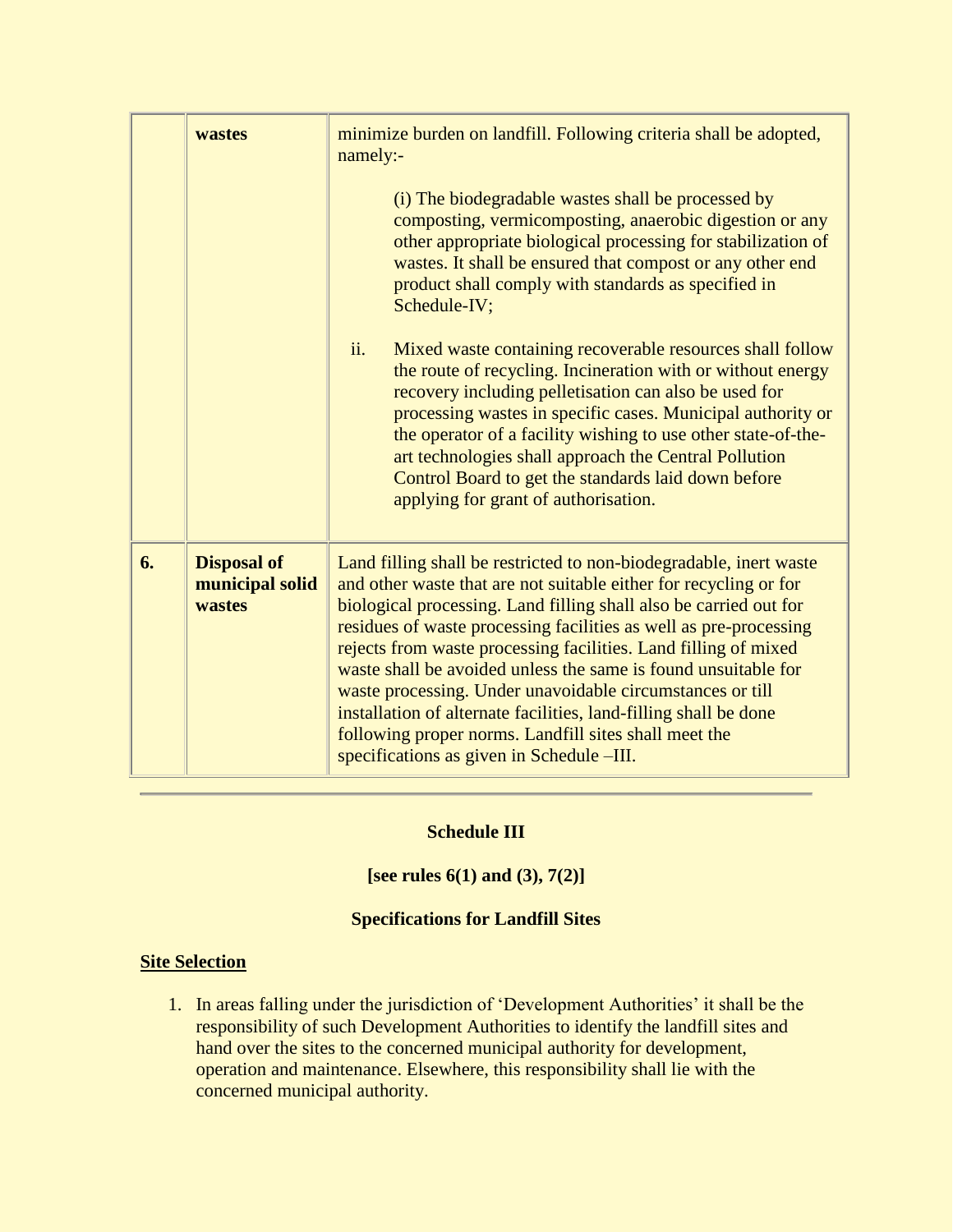| wastes |                                                 | minimize burden on landfill. Following criteria shall be adopted,<br>namely:-<br>(i) The biodegradable wastes shall be processed by<br>composting, vermicomposting, anaerobic digestion or any<br>other appropriate biological processing for stabilization of<br>wastes. It shall be ensured that compost or any other end<br>product shall comply with standards as specified in<br>Schedule-IV;                                                                                                                                                                                                                                                            |
|--------|-------------------------------------------------|---------------------------------------------------------------------------------------------------------------------------------------------------------------------------------------------------------------------------------------------------------------------------------------------------------------------------------------------------------------------------------------------------------------------------------------------------------------------------------------------------------------------------------------------------------------------------------------------------------------------------------------------------------------|
|        |                                                 | ii.<br>Mixed waste containing recoverable resources shall follow<br>the route of recycling. Incineration with or without energy<br>recovery including pelletisation can also be used for<br>processing wastes in specific cases. Municipal authority or<br>the operator of a facility wishing to use other state-of-the-<br>art technologies shall approach the Central Pollution<br>Control Board to get the standards laid down before<br>applying for grant of authorisation.                                                                                                                                                                              |
| 6.     | <b>Disposal of</b><br>municipal solid<br>wastes | Land filling shall be restricted to non-biodegradable, inert waste<br>and other waste that are not suitable either for recycling or for<br>biological processing. Land filling shall also be carried out for<br>residues of waste processing facilities as well as pre-processing<br>rejects from waste processing facilities. Land filling of mixed<br>waste shall be avoided unless the same is found unsuitable for<br>waste processing. Under unavoidable circumstances or till<br>installation of alternate facilities, land-filling shall be done<br>following proper norms. Landfill sites shall meet the<br>specifications as given in Schedule -III. |

## **Schedule III**

## **[see rules 6(1) and (3), 7(2)]**

## **Specifications for Landfill Sites**

## **Site Selection**

1. In areas falling under the jurisdiction of 'Development Authorities' it shall be the responsibility of such Development Authorities to identify the landfill sites and hand over the sites to the concerned municipal authority for development, operation and maintenance. Elsewhere, this responsibility shall lie with the concerned municipal authority.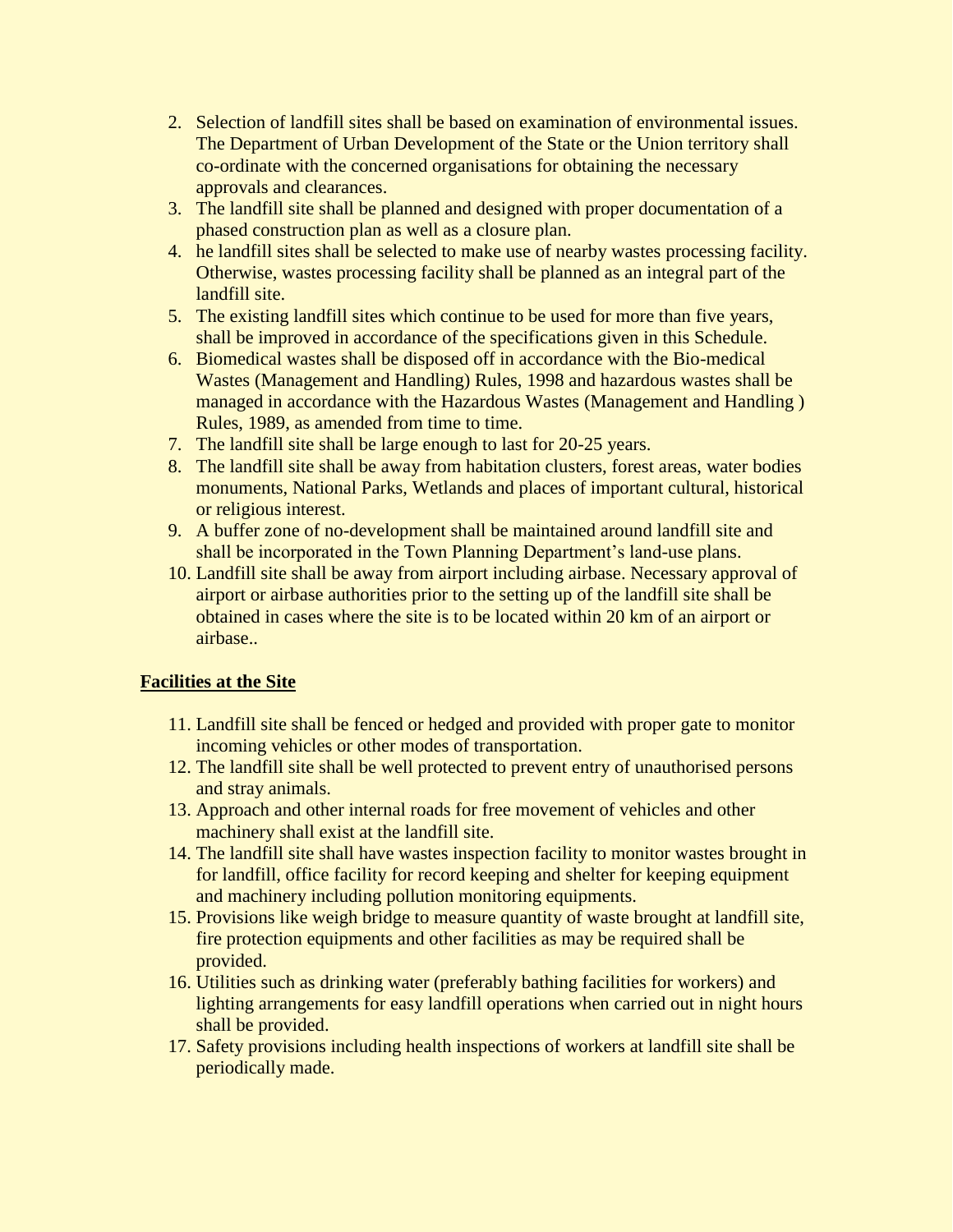- 2. Selection of landfill sites shall be based on examination of environmental issues. The Department of Urban Development of the State or the Union territory shall co-ordinate with the concerned organisations for obtaining the necessary approvals and clearances.
- 3. The landfill site shall be planned and designed with proper documentation of a phased construction plan as well as a closure plan.
- 4. he landfill sites shall be selected to make use of nearby wastes processing facility. Otherwise, wastes processing facility shall be planned as an integral part of the landfill site.
- 5. The existing landfill sites which continue to be used for more than five years, shall be improved in accordance of the specifications given in this Schedule.
- 6. Biomedical wastes shall be disposed off in accordance with the Bio-medical Wastes (Management and Handling) Rules, 1998 and hazardous wastes shall be managed in accordance with the Hazardous Wastes (Management and Handling ) Rules, 1989, as amended from time to time.
- 7. The landfill site shall be large enough to last for 20-25 years.
- 8. The landfill site shall be away from habitation clusters, forest areas, water bodies monuments, National Parks, Wetlands and places of important cultural, historical or religious interest.
- 9. A buffer zone of no-development shall be maintained around landfill site and shall be incorporated in the Town Planning Department's land-use plans.
- 10. Landfill site shall be away from airport including airbase. Necessary approval of airport or airbase authorities prior to the setting up of the landfill site shall be obtained in cases where the site is to be located within 20 km of an airport or airbase..

## **Facilities at the Site**

- 11. Landfill site shall be fenced or hedged and provided with proper gate to monitor incoming vehicles or other modes of transportation.
- 12. The landfill site shall be well protected to prevent entry of unauthorised persons and stray animals.
- 13. Approach and other internal roads for free movement of vehicles and other machinery shall exist at the landfill site.
- 14. The landfill site shall have wastes inspection facility to monitor wastes brought in for landfill, office facility for record keeping and shelter for keeping equipment and machinery including pollution monitoring equipments.
- 15. Provisions like weigh bridge to measure quantity of waste brought at landfill site, fire protection equipments and other facilities as may be required shall be provided.
- 16. Utilities such as drinking water (preferably bathing facilities for workers) and lighting arrangements for easy landfill operations when carried out in night hours shall be provided.
- 17. Safety provisions including health inspections of workers at landfill site shall be periodically made.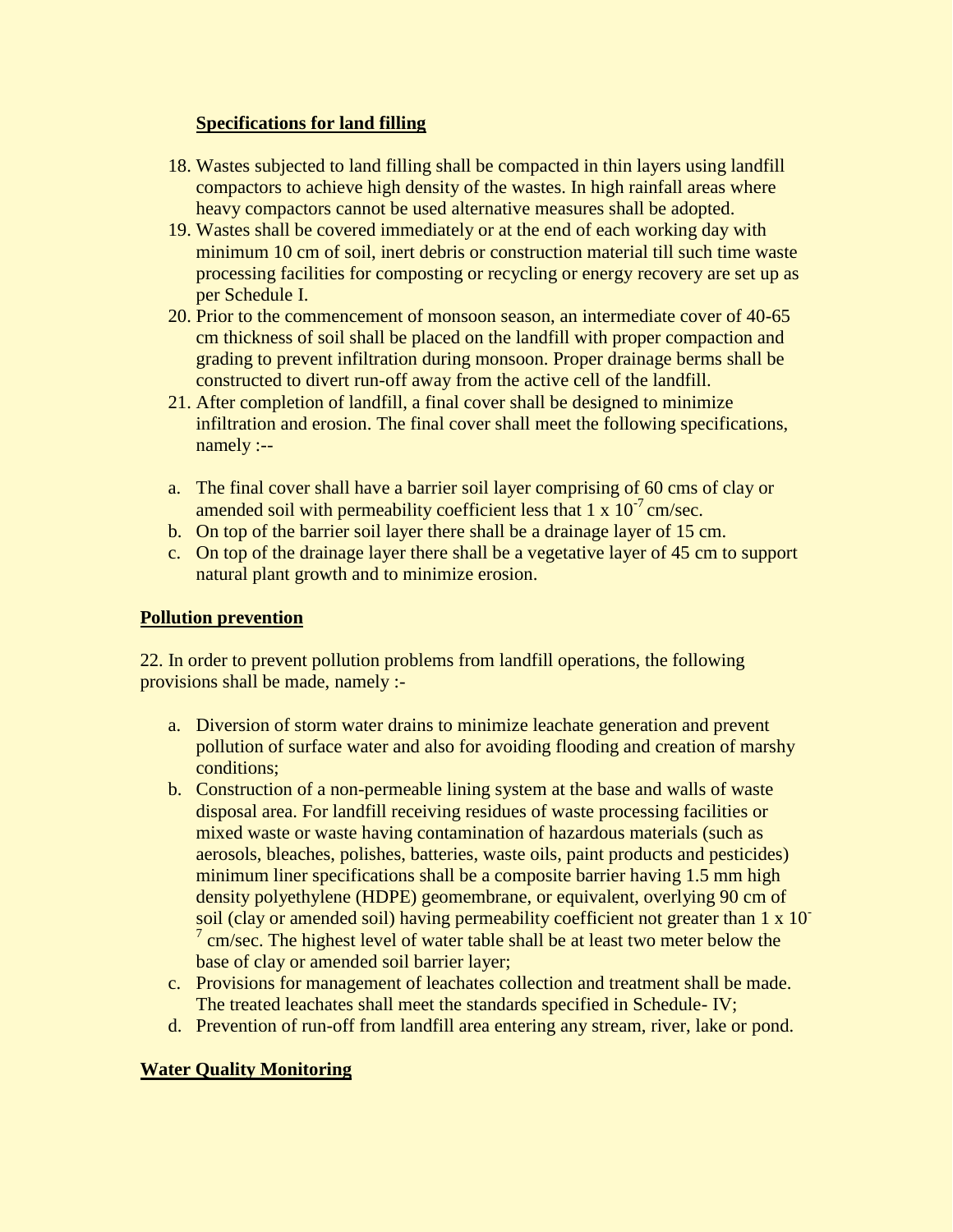## **Specifications for land filling**

- 18. Wastes subjected to land filling shall be compacted in thin layers using landfill compactors to achieve high density of the wastes. In high rainfall areas where heavy compactors cannot be used alternative measures shall be adopted.
- 19. Wastes shall be covered immediately or at the end of each working day with minimum 10 cm of soil, inert debris or construction material till such time waste processing facilities for composting or recycling or energy recovery are set up as per Schedule I.
- 20. Prior to the commencement of monsoon season, an intermediate cover of 40-65 cm thickness of soil shall be placed on the landfill with proper compaction and grading to prevent infiltration during monsoon. Proper drainage berms shall be constructed to divert run-off away from the active cell of the landfill.
- 21. After completion of landfill, a final cover shall be designed to minimize infiltration and erosion. The final cover shall meet the following specifications, namely :--
- a. The final cover shall have a barrier soil layer comprising of 60 cms of clay or amended soil with permeability coefficient less that  $1 \times 10^{-7}$  cm/sec.
- b. On top of the barrier soil layer there shall be a drainage layer of 15 cm.
- c. On top of the drainage layer there shall be a vegetative layer of 45 cm to support natural plant growth and to minimize erosion.

#### **Pollution prevention**

22. In order to prevent pollution problems from landfill operations, the following provisions shall be made, namely :-

- a. Diversion of storm water drains to minimize leachate generation and prevent pollution of surface water and also for avoiding flooding and creation of marshy conditions;
- b. Construction of a non-permeable lining system at the base and walls of waste disposal area. For landfill receiving residues of waste processing facilities or mixed waste or waste having contamination of hazardous materials (such as aerosols, bleaches, polishes, batteries, waste oils, paint products and pesticides) minimum liner specifications shall be a composite barrier having 1.5 mm high density polyethylene (HDPE) geomembrane, or equivalent, overlying 90 cm of soil (clay or amended soil) having permeability coefficient not greater than 1 x 10-  $7 \text{ cm/sec}$ . The highest level of water table shall be at least two meter below the base of clay or amended soil barrier layer;
- c. Provisions for management of leachates collection and treatment shall be made. The treated leachates shall meet the standards specified in Schedule- IV;
- d. Prevention of run-off from landfill area entering any stream, river, lake or pond.

## **Water Quality Monitoring**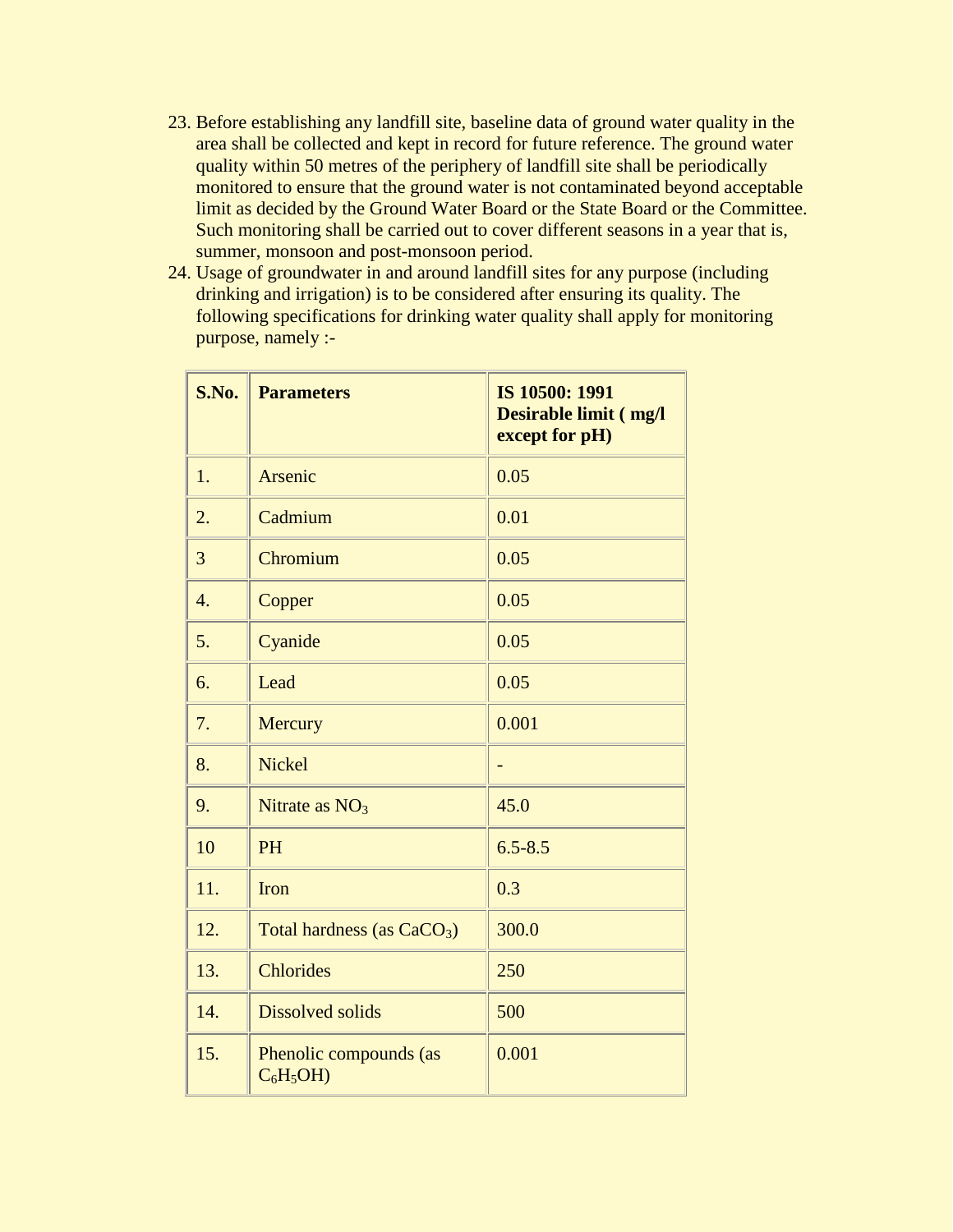- 23. Before establishing any landfill site, baseline data of ground water quality in the area shall be collected and kept in record for future reference. The ground water quality within 50 metres of the periphery of landfill site shall be periodically monitored to ensure that the ground water is not contaminated beyond acceptable limit as decided by the Ground Water Board or the State Board or the Committee. Such monitoring shall be carried out to cover different seasons in a year that is, summer, monsoon and post-monsoon period.
- 24. Usage of groundwater in and around landfill sites for any purpose (including drinking and irrigation) is to be considered after ensuring its quality. The following specifications for drinking water quality shall apply for monitoring purpose, namely :-

| S.No. | <b>Parameters</b>                    | IS 10500: 1991<br>Desirable limit (mg/l<br>except for pH) |
|-------|--------------------------------------|-----------------------------------------------------------|
| 1.    | Arsenic                              | 0.05                                                      |
| 2.    | Cadmium                              | 0.01                                                      |
| 3     | Chromium                             | 0.05                                                      |
| 4.    | Copper                               | 0.05                                                      |
| 5.    | Cyanide                              | 0.05                                                      |
| 6.    | Lead                                 | 0.05                                                      |
| 7.    | Mercury                              | 0.001                                                     |
| 8.    | <b>Nickel</b>                        |                                                           |
| 9.    | Nitrate as $NO3$                     | 45.0                                                      |
| 10    | <b>PH</b>                            | $6.5 - 8.5$                                               |
| 11.   | <b>Iron</b>                          | 0.3                                                       |
| 12.   | Total hardness (as $CaCO3$ )         | 300.0                                                     |
| 13.   | <b>Chlorides</b>                     | 250                                                       |
| 14.   | <b>Dissolved solids</b>              | 500                                                       |
| 15.   | Phenolic compounds (as<br>$C_6H_5OH$ | 0.001                                                     |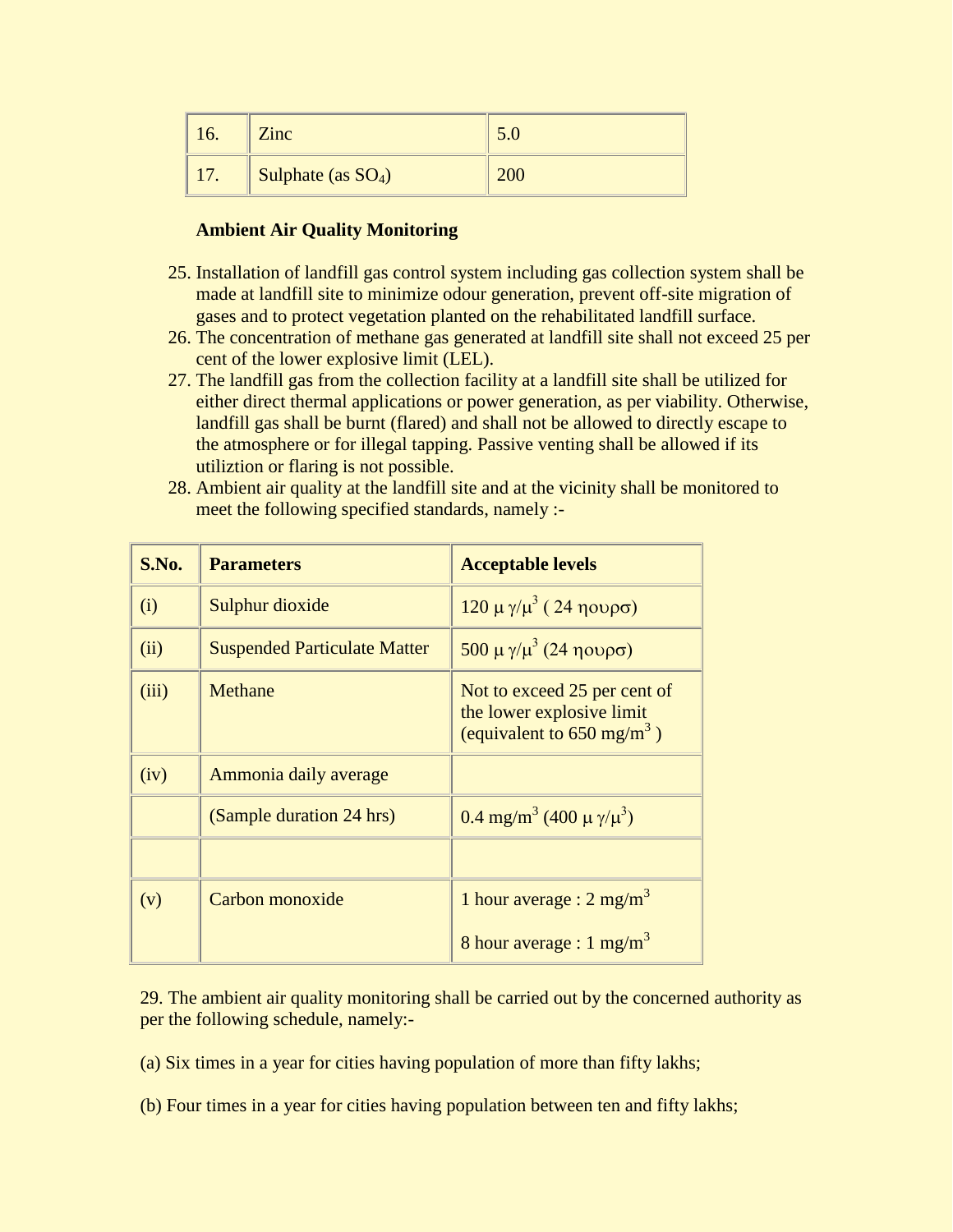| 10.                   | <b>Zinc</b>           |  |
|-----------------------|-----------------------|--|
| 1 <sub>7</sub><br>17. | Sulphate (as $SO_4$ ) |  |

#### **Ambient Air Quality Monitoring**

- 25. Installation of landfill gas control system including gas collection system shall be made at landfill site to minimize odour generation, prevent off-site migration of gases and to protect vegetation planted on the rehabilitated landfill surface.
- 26. The concentration of methane gas generated at landfill site shall not exceed 25 per cent of the lower explosive limit (LEL).
- 27. The landfill gas from the collection facility at a landfill site shall be utilized for either direct thermal applications or power generation, as per viability. Otherwise, landfill gas shall be burnt (flared) and shall not be allowed to directly escape to the atmosphere or for illegal tapping. Passive venting shall be allowed if its utiliztion or flaring is not possible.
- 28. Ambient air quality at the landfill site and at the vicinity shall be monitored to meet the following specified standards, namely :-

| S.No. | <b>Parameters</b>                   | <b>Acceptable levels</b>                                                                           |
|-------|-------------------------------------|----------------------------------------------------------------------------------------------------|
| (i)   | Sulphur dioxide                     | $120 \mu$ γ/ $\mu^3$ (24 ηουρσ)                                                                    |
| (ii)  | <b>Suspended Particulate Matter</b> | $500 \mu$ γ/ $\mu^3$ (24 ηουρσ)                                                                    |
| (iii) | Methane                             | Not to exceed 25 per cent of<br>the lower explosive limit<br>(equivalent to $650 \text{ mg/m}^3$ ) |
| (iv)  | Ammonia daily average               |                                                                                                    |
|       | (Sample duration 24 hrs)            | 0.4 mg/m <sup>3</sup> (400 $\mu$ $\gamma/\mu^3$ )                                                  |
|       |                                     |                                                                                                    |
| (v)   | Carbon monoxide                     | 1 hour average : $2 \text{ mg/m}^3$                                                                |
|       |                                     | 8 hour average : $1 \text{ mg/m}^3$                                                                |

29. The ambient air quality monitoring shall be carried out by the concerned authority as per the following schedule, namely:-

(a) Six times in a year for cities having population of more than fifty lakhs;

(b) Four times in a year for cities having population between ten and fifty lakhs;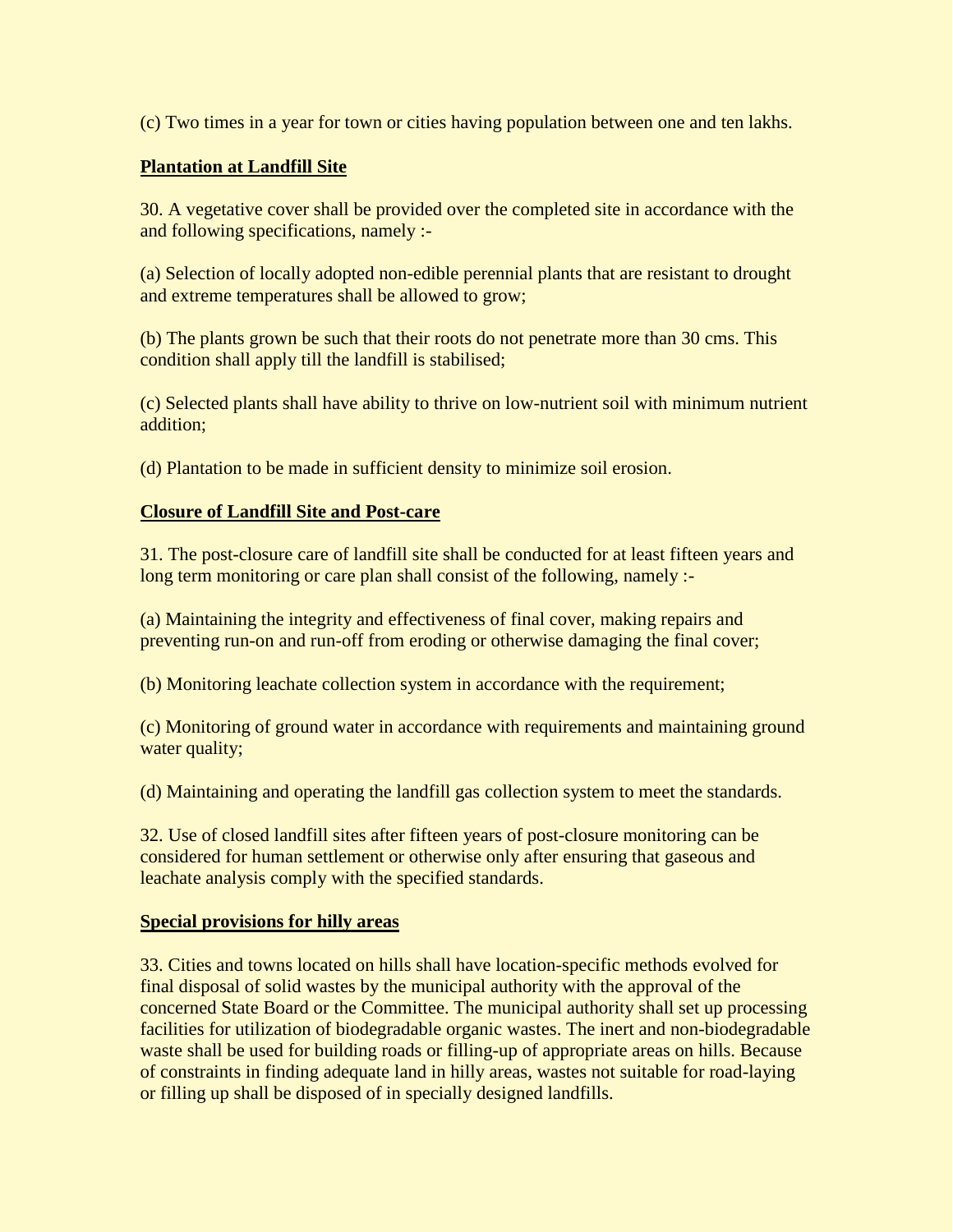(c) Two times in a year for town or cities having population between one and ten lakhs.

#### **Plantation at Landfill Site**

30. A vegetative cover shall be provided over the completed site in accordance with the and following specifications, namely :-

(a) Selection of locally adopted non-edible perennial plants that are resistant to drought and extreme temperatures shall be allowed to grow;

(b) The plants grown be such that their roots do not penetrate more than 30 cms. This condition shall apply till the landfill is stabilised;

(c) Selected plants shall have ability to thrive on low-nutrient soil with minimum nutrient addition;

(d) Plantation to be made in sufficient density to minimize soil erosion.

#### **Closure of Landfill Site and Post-care**

31. The post-closure care of landfill site shall be conducted for at least fifteen years and long term monitoring or care plan shall consist of the following, namely :-

(a) Maintaining the integrity and effectiveness of final cover, making repairs and preventing run-on and run-off from eroding or otherwise damaging the final cover;

(b) Monitoring leachate collection system in accordance with the requirement;

(c) Monitoring of ground water in accordance with requirements and maintaining ground water quality;

(d) Maintaining and operating the landfill gas collection system to meet the standards.

32. Use of closed landfill sites after fifteen years of post-closure monitoring can be considered for human settlement or otherwise only after ensuring that gaseous and leachate analysis comply with the specified standards.

#### **Special provisions for hilly areas**

33. Cities and towns located on hills shall have location-specific methods evolved for final disposal of solid wastes by the municipal authority with the approval of the concerned State Board or the Committee. The municipal authority shall set up processing facilities for utilization of biodegradable organic wastes. The inert and non-biodegradable waste shall be used for building roads or filling-up of appropriate areas on hills. Because of constraints in finding adequate land in hilly areas, wastes not suitable for road-laying or filling up shall be disposed of in specially designed landfills.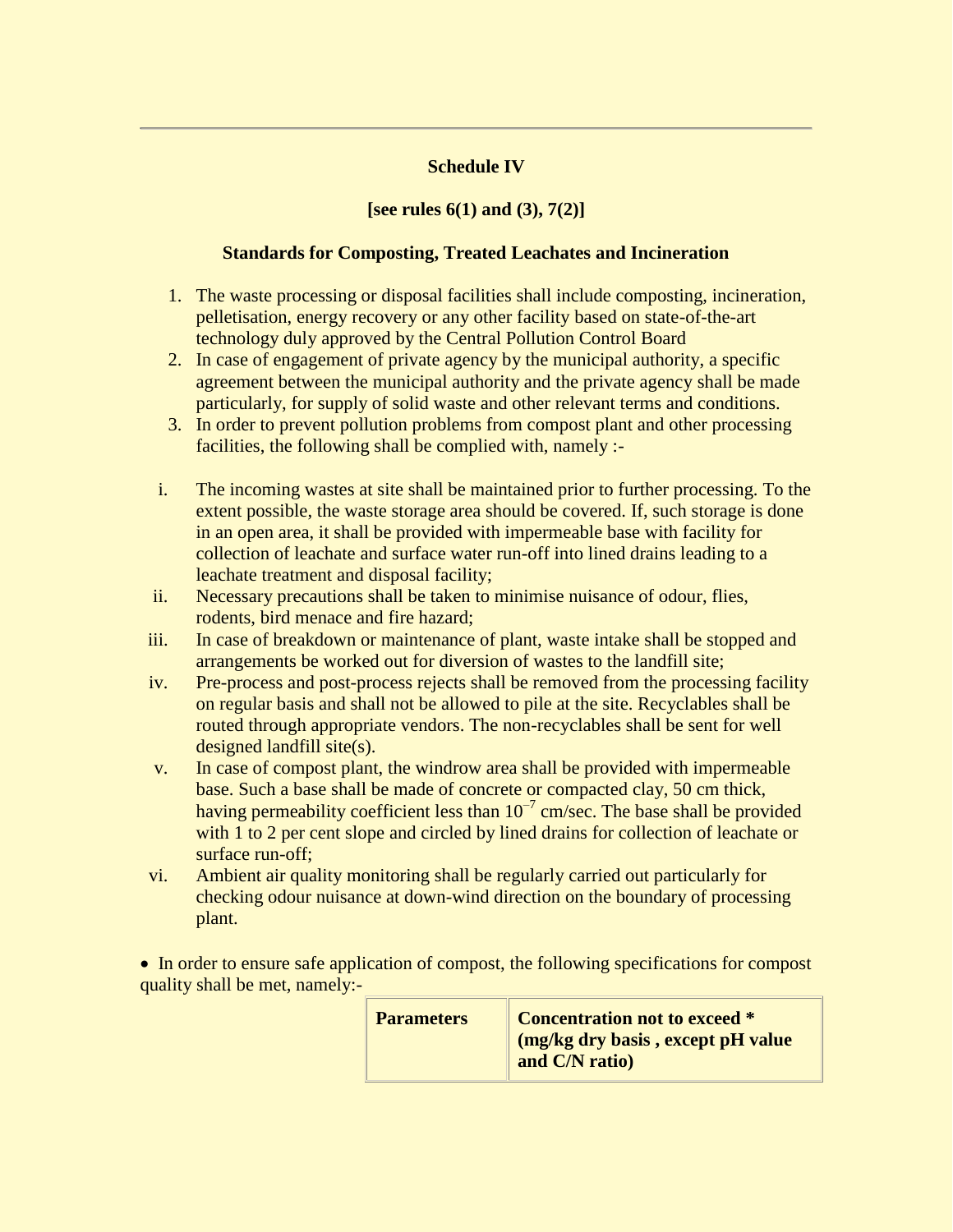## **Schedule IV**

## **[see rules 6(1) and (3), 7(2)]**

## **Standards for Composting, Treated Leachates and Incineration**

- 1. The waste processing or disposal facilities shall include composting, incineration, pelletisation, energy recovery or any other facility based on state-of-the-art technology duly approved by the Central Pollution Control Board
- 2. In case of engagement of private agency by the municipal authority, a specific agreement between the municipal authority and the private agency shall be made particularly, for supply of solid waste and other relevant terms and conditions.
- 3. In order to prevent pollution problems from compost plant and other processing facilities, the following shall be complied with, namely :-
- i. The incoming wastes at site shall be maintained prior to further processing. To the extent possible, the waste storage area should be covered. If, such storage is done in an open area, it shall be provided with impermeable base with facility for collection of leachate and surface water run-off into lined drains leading to a leachate treatment and disposal facility;
- ii. Necessary precautions shall be taken to minimise nuisance of odour, flies, rodents, bird menace and fire hazard;
- iii. In case of breakdown or maintenance of plant, waste intake shall be stopped and arrangements be worked out for diversion of wastes to the landfill site;
- iv. Pre-process and post-process rejects shall be removed from the processing facility on regular basis and shall not be allowed to pile at the site. Recyclables shall be routed through appropriate vendors. The non-recyclables shall be sent for well designed landfill site(s).
- v. In case of compost plant, the windrow area shall be provided with impermeable base. Such a base shall be made of concrete or compacted clay, 50 cm thick, having permeability coefficient less than  $10^{-7}$  cm/sec. The base shall be provided with 1 to 2 per cent slope and circled by lined drains for collection of leachate or surface run-off;
- vi. Ambient air quality monitoring shall be regularly carried out particularly for checking odour nuisance at down-wind direction on the boundary of processing plant.

• In order to ensure safe application of compost, the following specifications for compost quality shall be met, namely:-

| <b>Parameters</b> | Concentration not to exceed *<br>I (mg/kg dry basis, except pH value<br>and C/N ratio) |
|-------------------|----------------------------------------------------------------------------------------|
|-------------------|----------------------------------------------------------------------------------------|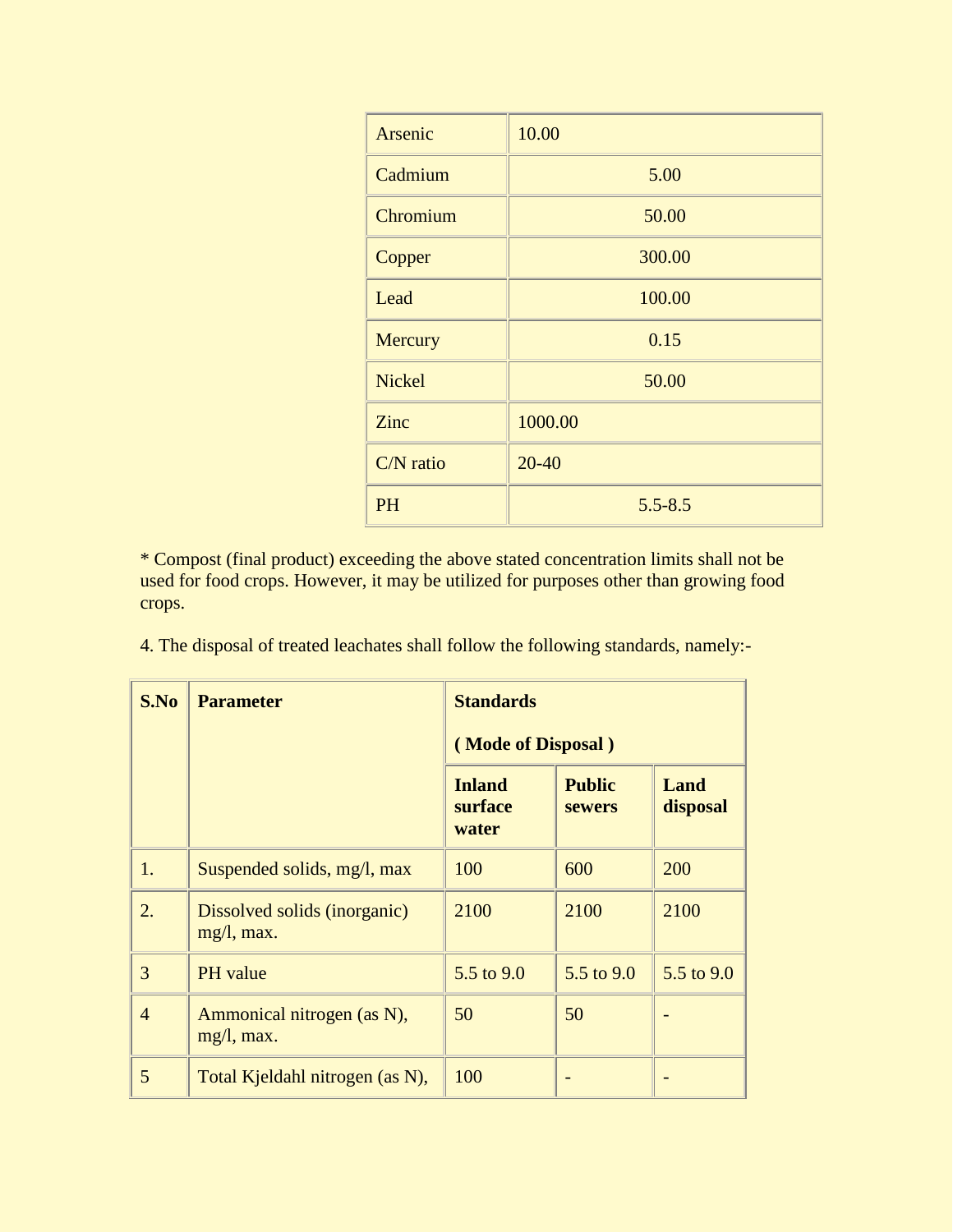| Arsenic       | 10.00       |
|---------------|-------------|
| Cadmium       | 5.00        |
| Chromium      | 50.00       |
| Copper        | 300.00      |
| Lead          | 100.00      |
| Mercury       | 0.15        |
| <b>Nickel</b> | 50.00       |
| Zinc          | 1000.00     |
| C/N ratio     | $20 - 40$   |
| <b>PH</b>     | $5.5 - 8.5$ |

\* Compost (final product) exceeding the above stated concentration limits shall not be used for food crops. However, it may be utilized for purposes other than growing food crops.

4. The disposal of treated leachates shall follow the following standards, namely:-

| S.No           | <b>Parameter</b>                            | <b>Standards</b><br>(Mode of Disposal) |                                |                         |
|----------------|---------------------------------------------|----------------------------------------|--------------------------------|-------------------------|
|                |                                             | <b>Inland</b><br>surface<br>water      | <b>Public</b><br><b>sewers</b> | <b>Land</b><br>disposal |
| 1.             | Suspended solids, mg/l, max                 | 100                                    | 600                            | 200                     |
| 2.             | Dissolved solids (inorganic)<br>mg/l, max.  | 2100                                   | 2100                           | 2100                    |
| 3              | PH value                                    | 5.5 to $9.0$                           | 5.5 to $9.0$                   | 5.5 to 9.0              |
| $\overline{4}$ | Ammonical nitrogen (as N),<br>$mg/l$ , max. | 50                                     | 50                             |                         |
| 5              | Total Kjeldahl nitrogen (as N),             | 100                                    |                                |                         |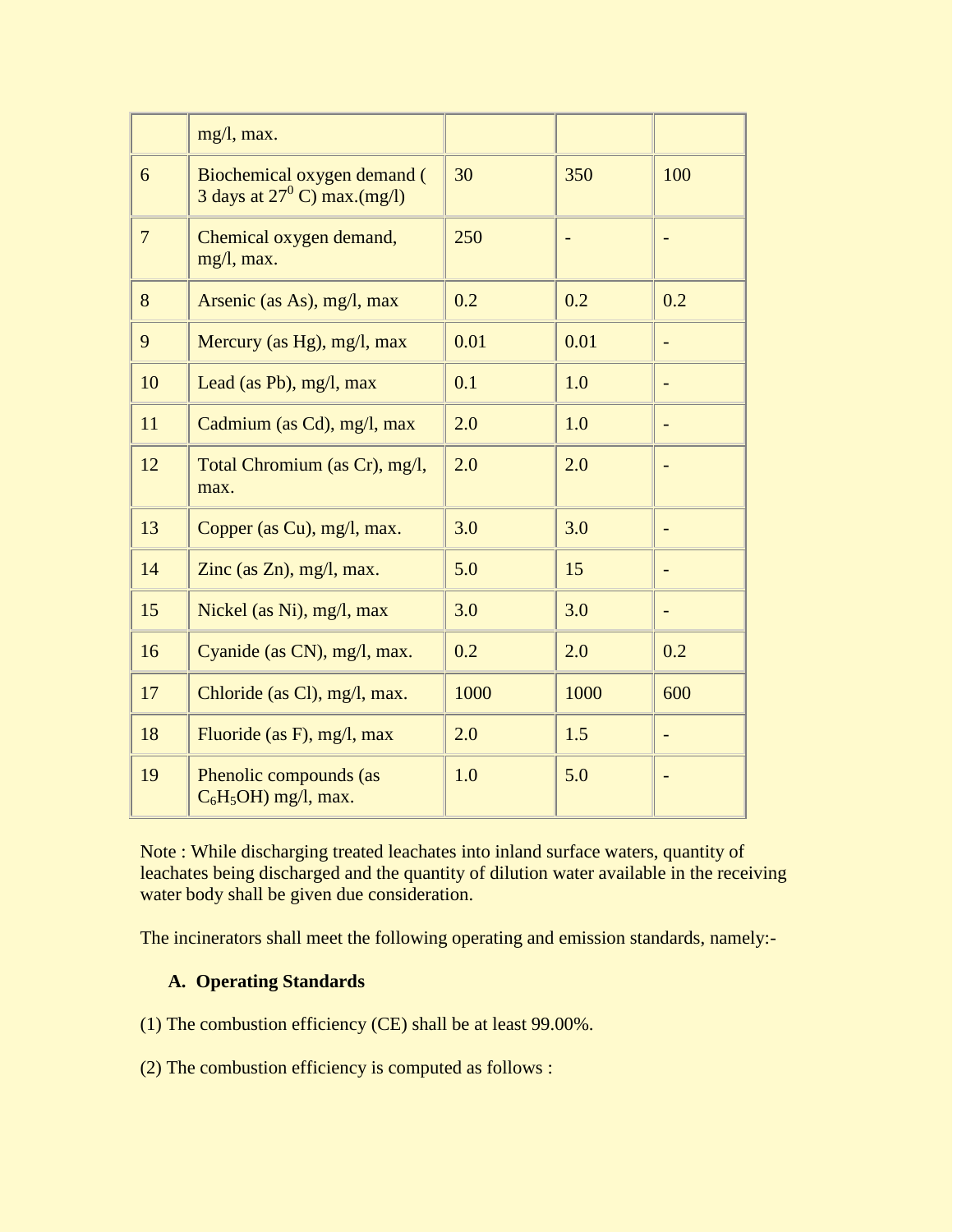|                | mg/l, max.                                                          |      |      |                          |
|----------------|---------------------------------------------------------------------|------|------|--------------------------|
| 6              | Biochemical oxygen demand (<br>3 days at $27^{\circ}$ C) max.(mg/l) | 30   | 350  | 100                      |
| $\overline{7}$ | Chemical oxygen demand,<br>mg/l, max.                               | 250  |      |                          |
| 8              | Arsenic (as As), mg/l, max                                          | 0.2  | 0.2  | 0.2                      |
| 9              | Mercury (as Hg), mg/l, max                                          | 0.01 | 0.01 | ÷,                       |
| 10             | Lead (as Pb), mg/l, max                                             | 0.1  | 1.0  |                          |
| 11             | Cadmium (as Cd), mg/l, max                                          | 2.0  | 1.0  |                          |
| 12             | Total Chromium (as Cr), mg/l,<br>max.                               | 2.0  | 2.0  |                          |
| 13             | Copper (as Cu), mg/l, max.                                          | 3.0  | 3.0  | ÷,                       |
| 14             | Zinc (as $Zn$ ), mg/l, max.                                         | 5.0  | 15   | $\overline{\phantom{0}}$ |
| 15             | Nickel (as Ni), mg/l, max                                           | 3.0  | 3.0  |                          |
| 16             | Cyanide (as CN), mg/l, max.                                         | 0.2  | 2.0  | 0.2                      |
| 17             | Chloride (as Cl), mg/l, max.                                        | 1000 | 1000 | 600                      |
| 18             | Fluoride (as F), mg/l, max                                          | 2.0  | 1.5  |                          |
| 19             | Phenolic compounds (as<br>$C_6H_5OH$ mg/l, max.                     | 1.0  | 5.0  |                          |

Note : While discharging treated leachates into inland surface waters, quantity of leachates being discharged and the quantity of dilution water available in the receiving water body shall be given due consideration.

The incinerators shall meet the following operating and emission standards, namely:-

## **A. Operating Standards**

(1) The combustion efficiency (CE) shall be at least 99.00%.

(2) The combustion efficiency is computed as follows :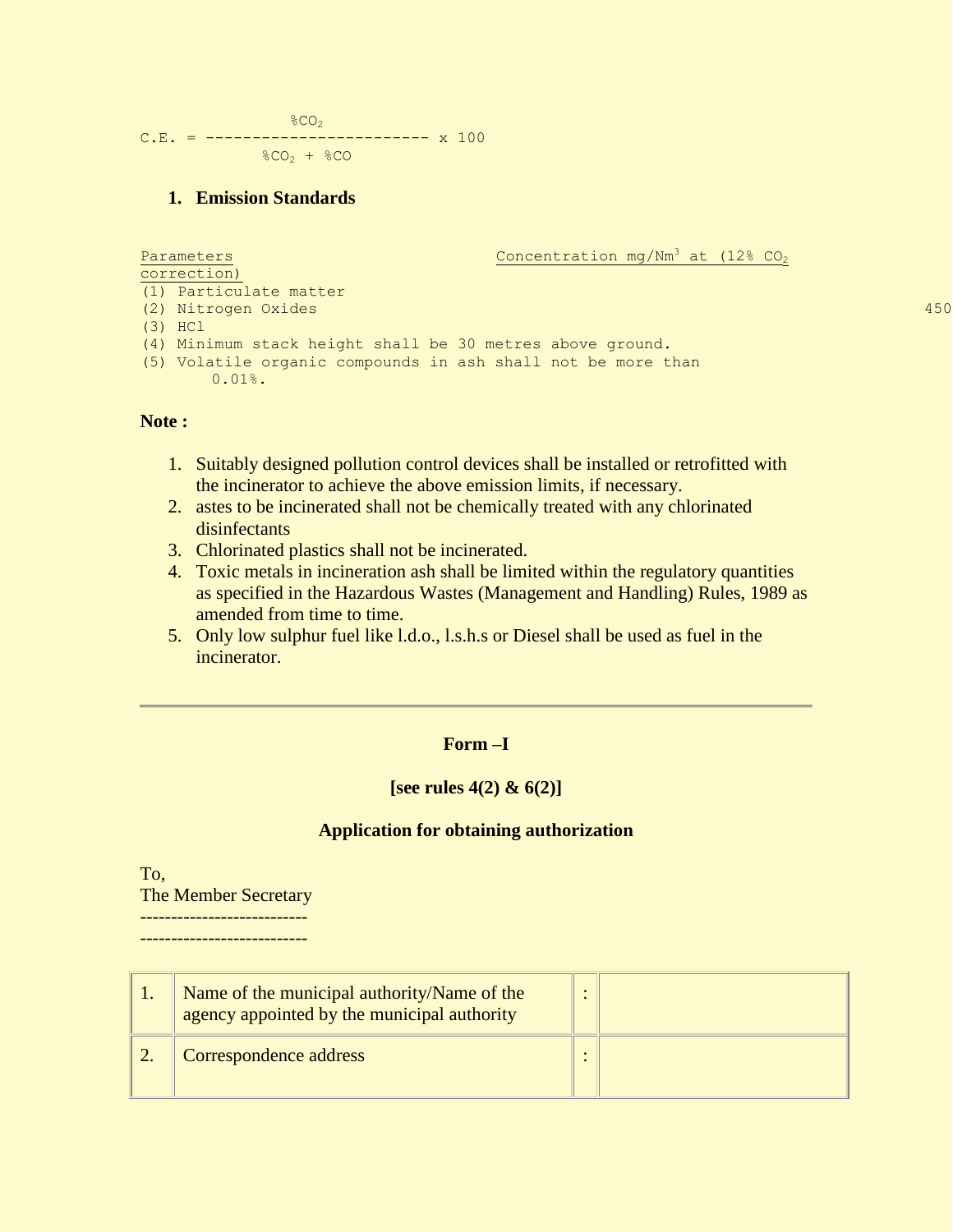$$CO<sub>2</sub>$  $C.E. =$  ------------------------ x 100  $$CO<sub>2</sub> + $CO$ 

#### **1. Emission Standards**

```
Parameters \sim Concentration mg/Nm<sup>3</sup> at (12% CO<sub>2</sub>)
correction)
(1) Particulate matter
(2) Nitrogen Oxides 450
(3) HCl 50 HCl 50 HCl 50 HCl 50 HCl 50 HCl 50 HCl 50 HCl 50 HCl 50 HCl 50 HCl 50 HCl 50 HCl 50 HCl 50 HCl 50 HCl 50 HCl 50 HCl 50 HCl 50 HCl 50 HCl 50 HCl 50 HCl 50 HCl 50(4) Minimum stack height shall be 30 metres above ground.
(5) Volatile organic compounds in ash shall not be more than 
       0.01%.
```
#### **Note :**

- 1. Suitably designed pollution control devices shall be installed or retrofitted with the incinerator to achieve the above emission limits, if necessary.
- 2. astes to be incinerated shall not be chemically treated with any chlorinated disinfectants
- 3. Chlorinated plastics shall not be incinerated.
- 4. Toxic metals in incineration ash shall be limited within the regulatory quantities as specified in the Hazardous Wastes (Management and Handling) Rules, 1989 as amended from time to time.
- 5. Only low sulphur fuel like l.d.o., l.s.h.s or Diesel shall be used as fuel in the incinerator.

#### **Form –I**

#### **[see rules 4(2) & 6(2)]**

#### **Application for obtaining authorization**

To, The Member Secretary ---------------------------

---------------------------

| Name of the municipal authority/Name of the<br>agency appointed by the municipal authority |  |
|--------------------------------------------------------------------------------------------|--|
| Correspondence address                                                                     |  |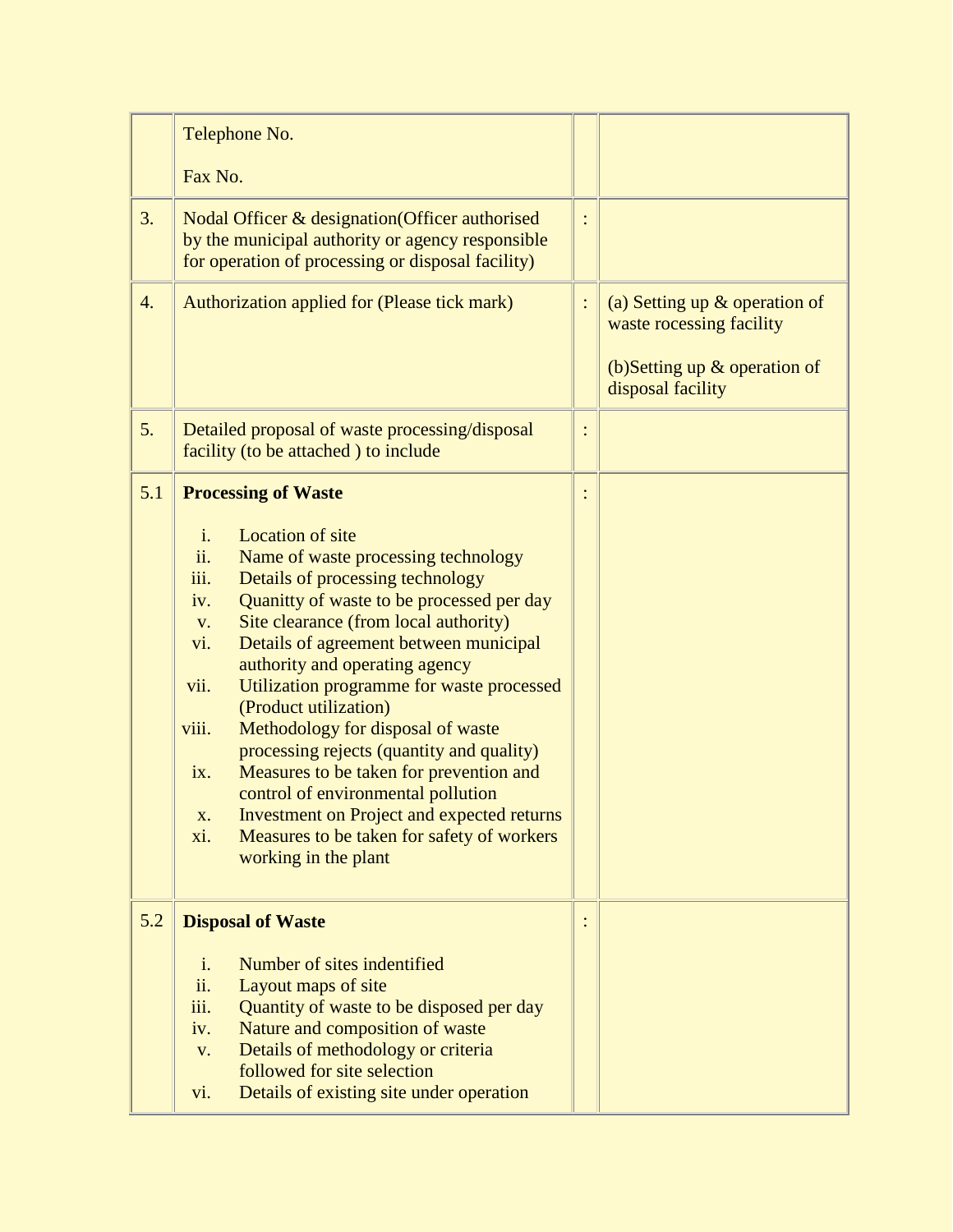|     | Telephone No.<br>Fax No.                                                                                                                                                                                                                                                                                                                                                                                                                                                                                                                                                                                                                                                                                                                                         |  |                                                                                                                       |
|-----|------------------------------------------------------------------------------------------------------------------------------------------------------------------------------------------------------------------------------------------------------------------------------------------------------------------------------------------------------------------------------------------------------------------------------------------------------------------------------------------------------------------------------------------------------------------------------------------------------------------------------------------------------------------------------------------------------------------------------------------------------------------|--|-----------------------------------------------------------------------------------------------------------------------|
| 3.  | Nodal Officer & designation (Officer authorised<br>by the municipal authority or agency responsible<br>for operation of processing or disposal facility)                                                                                                                                                                                                                                                                                                                                                                                                                                                                                                                                                                                                         |  |                                                                                                                       |
| 4.  | Authorization applied for (Please tick mark)                                                                                                                                                                                                                                                                                                                                                                                                                                                                                                                                                                                                                                                                                                                     |  | (a) Setting up $\&$ operation of<br>waste rocessing facility<br>(b) Setting up $\&$ operation of<br>disposal facility |
| 5.  | Detailed proposal of waste processing/disposal<br>facility (to be attached) to include                                                                                                                                                                                                                                                                                                                                                                                                                                                                                                                                                                                                                                                                           |  |                                                                                                                       |
| 5.1 | <b>Processing of Waste</b><br><b>Location of site</b><br>$\mathbf{i}$ .<br>ii.<br>Name of waste processing technology<br>iii.<br>Details of processing technology<br>Quanitty of waste to be processed per day<br>iv.<br>Site clearance (from local authority)<br>V.<br>Details of agreement between municipal<br>vi.<br>authority and operating agency<br>vii.<br>Utilization programme for waste processed<br>(Product utilization)<br>Methodology for disposal of waste<br>viii.<br>processing rejects (quantity and quality)<br>Measures to be taken for prevention and<br>ix.<br>control of environmental pollution<br><b>Investment on Project and expected returns</b><br>X.<br>Measures to be taken for safety of workers<br>xi.<br>working in the plant |  |                                                                                                                       |
| 5.2 | <b>Disposal of Waste</b><br>Number of sites indentified<br>$\mathbf{i}$ .<br>ii.<br>Layout maps of site<br>Quantity of waste to be disposed per day<br>iii.<br>Nature and composition of waste<br>iv.<br>Details of methodology or criteria<br>V.<br>followed for site selection<br>Details of existing site under operation<br>vi.                                                                                                                                                                                                                                                                                                                                                                                                                              |  |                                                                                                                       |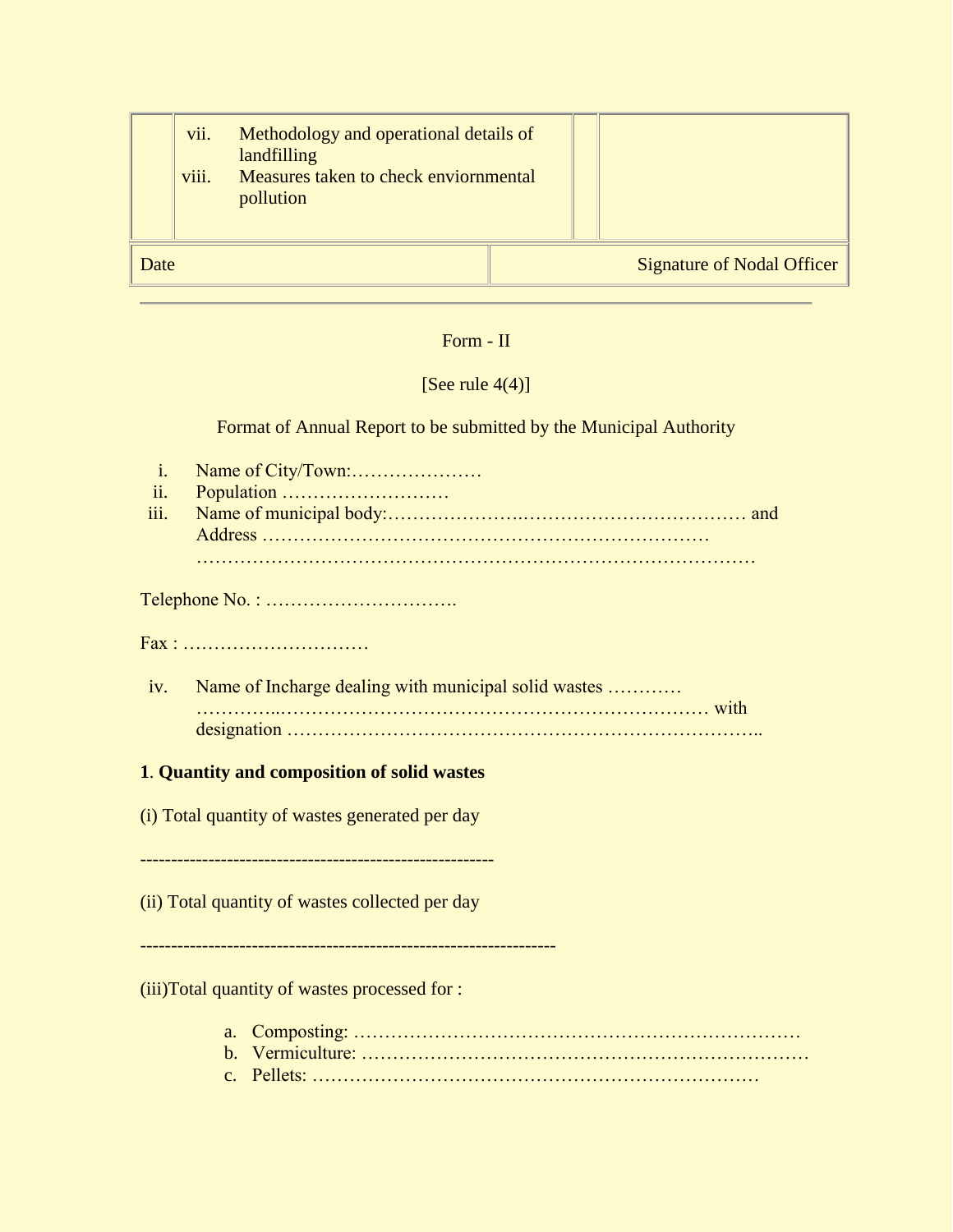|      | vii.<br>viii. | Methodology and operational details of<br>landfilling<br>Measures taken to check enviornmental |  |                                   |
|------|---------------|------------------------------------------------------------------------------------------------|--|-----------------------------------|
|      |               | pollution                                                                                      |  |                                   |
| Date |               |                                                                                                |  | <b>Signature of Nodal Officer</b> |

# Form - II

# [See rule  $4(4)$ ]

Format of Annual Report to be submitted by the Municipal Authority

| $\mathbf{i}$ .<br>ii.<br>iii.                   |                                                      |  |  |
|-------------------------------------------------|------------------------------------------------------|--|--|
|                                                 |                                                      |  |  |
|                                                 |                                                      |  |  |
| iv.                                             | Name of Incharge dealing with municipal solid wastes |  |  |
|                                                 |                                                      |  |  |
| 1. Quantity and composition of solid wastes     |                                                      |  |  |
| (i) Total quantity of wastes generated per day  |                                                      |  |  |
| (ii) Total quantity of wastes collected per day |                                                      |  |  |
|                                                 |                                                      |  |  |

# (iii)Total quantity of wastes processed for :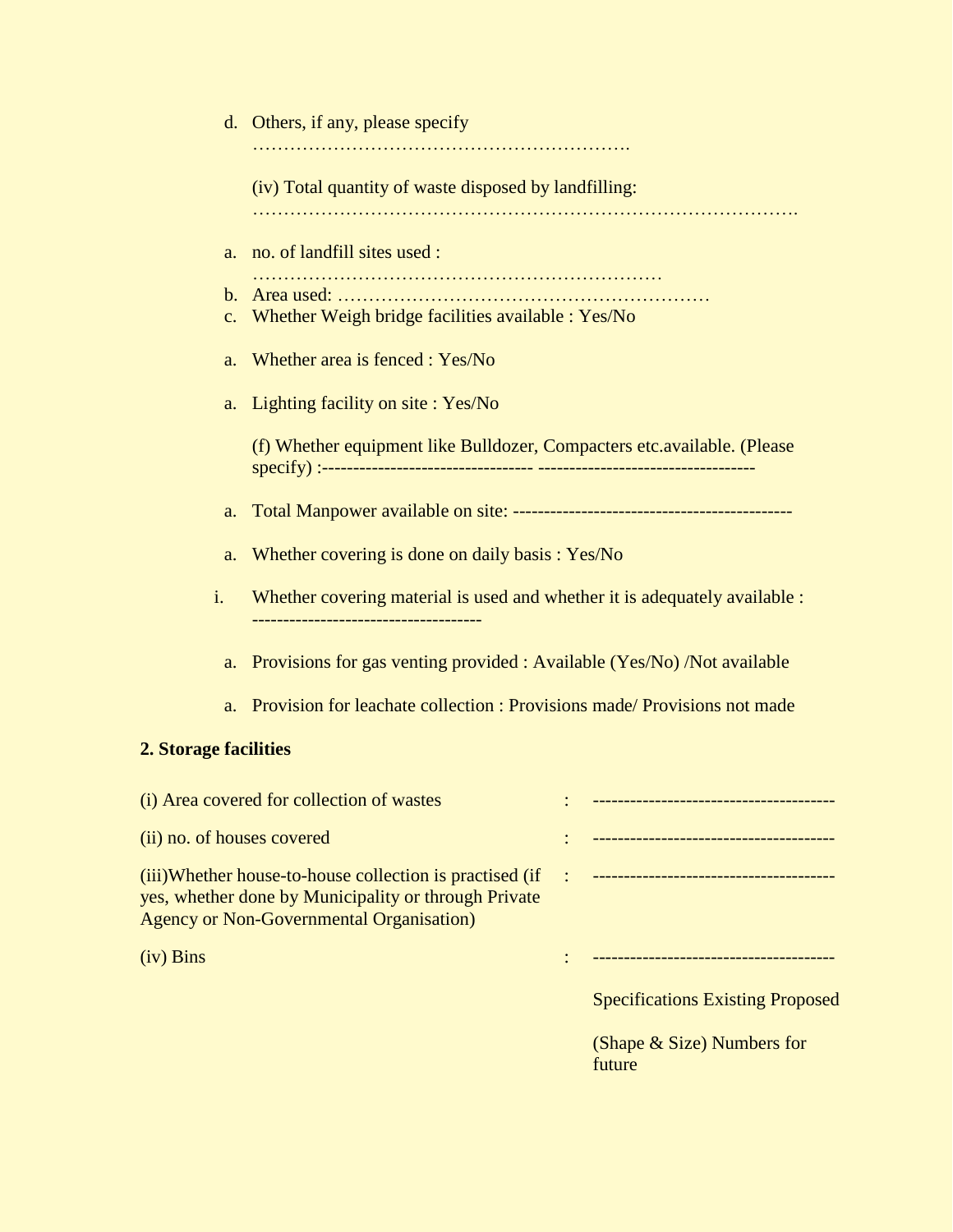|                                                                                                                                                                    | d. Others, if any, please specify                                       |  |                                         |
|--------------------------------------------------------------------------------------------------------------------------------------------------------------------|-------------------------------------------------------------------------|--|-----------------------------------------|
|                                                                                                                                                                    | (iv) Total quantity of waste disposed by landfilling:                   |  |                                         |
| a.                                                                                                                                                                 | no. of landfill sites used :                                            |  |                                         |
| $b_{\cdot}$                                                                                                                                                        |                                                                         |  |                                         |
| $C_{\bullet}$                                                                                                                                                      | Whether Weigh bridge facilities available : Yes/No                      |  |                                         |
| a.                                                                                                                                                                 | Whether area is fenced : Yes/No                                         |  |                                         |
| a.                                                                                                                                                                 | Lighting facility on site: Yes/No                                       |  |                                         |
|                                                                                                                                                                    | (f) Whether equipment like Bulldozer, Compacters etc.available. (Please |  |                                         |
| a.                                                                                                                                                                 |                                                                         |  |                                         |
| a.                                                                                                                                                                 | Whether covering is done on daily basis: Yes/No                         |  |                                         |
| i.<br>Whether covering material is used and whether it is adequately available :<br>------------------------------------                                           |                                                                         |  |                                         |
| a.                                                                                                                                                                 | Provisions for gas venting provided : Available (Yes/No) /Not available |  |                                         |
| Provision for leachate collection : Provisions made/ Provisions not made<br>a.                                                                                     |                                                                         |  |                                         |
| 2. Storage facilities                                                                                                                                              |                                                                         |  |                                         |
|                                                                                                                                                                    | (i) Area covered for collection of wastes                               |  |                                         |
| (ii) no. of houses covered                                                                                                                                         |                                                                         |  | -------------------------------------   |
| (iii)Whether house-to-house collection is practised (if<br>yes, whether done by Municipality or through Private<br><b>Agency or Non-Governmental Organisation)</b> |                                                                         |  |                                         |
| $(iv)$ Bins                                                                                                                                                        |                                                                         |  |                                         |
|                                                                                                                                                                    |                                                                         |  | <b>Specifications Existing Proposed</b> |

(Shape & Size) Numbers for future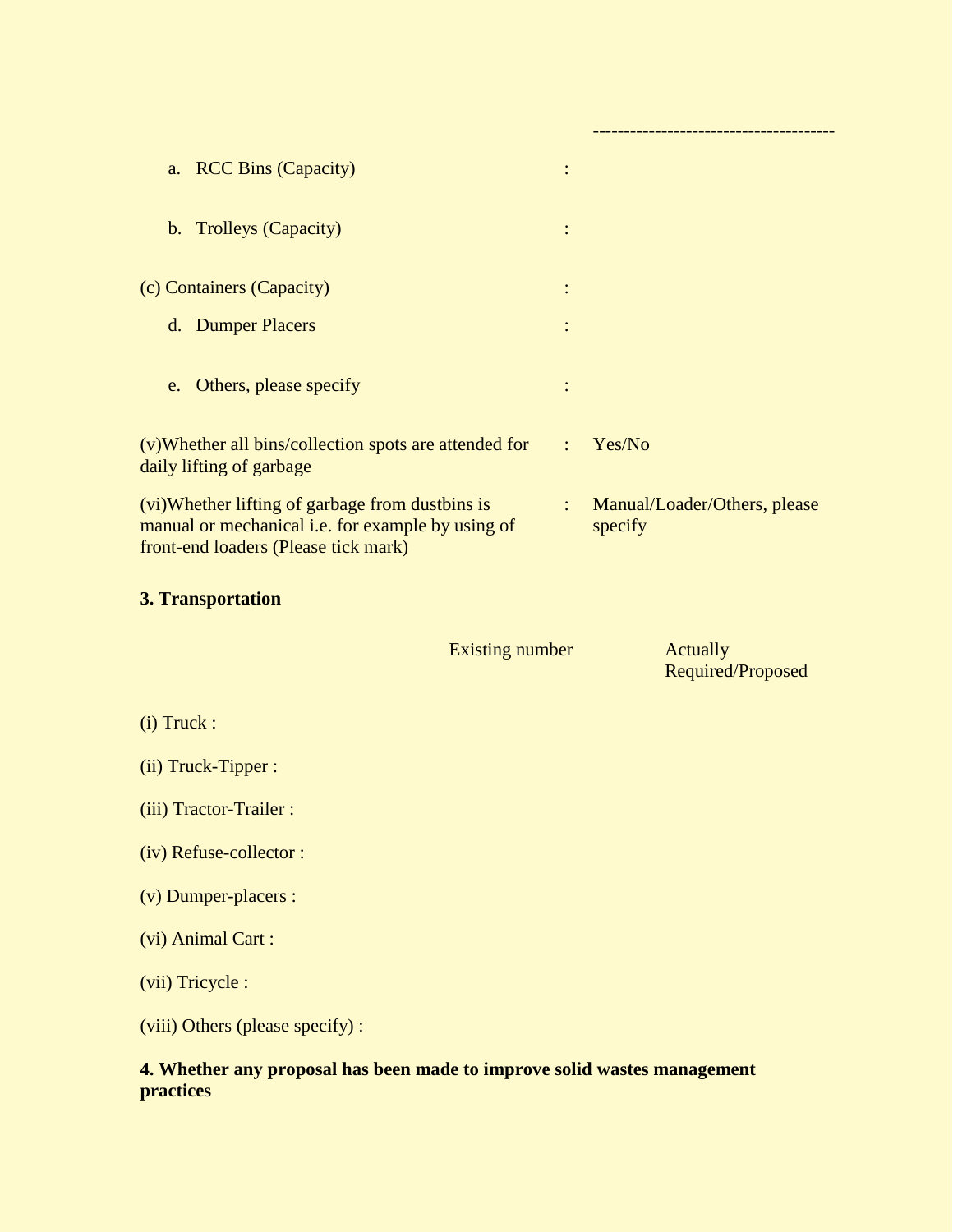| <b>RCC Bins (Capacity)</b><br>a.                                                                                                             |                        |                                         |  |
|----------------------------------------------------------------------------------------------------------------------------------------------|------------------------|-----------------------------------------|--|
| b. Trolleys (Capacity)                                                                                                                       |                        |                                         |  |
| (c) Containers (Capacity)                                                                                                                    |                        |                                         |  |
| d. Dumper Placers                                                                                                                            |                        |                                         |  |
| Others, please specify<br>e.                                                                                                                 |                        |                                         |  |
| (v)Whether all bins/collection spots are attended for<br>daily lifting of garbage                                                            | ÷                      | Yes/No                                  |  |
| (vi)Whether lifting of garbage from dustbins is<br>manual or mechanical i.e. for example by using of<br>front-end loaders (Please tick mark) | $\ddot{\phantom{a}}$   | Manual/Loader/Others, please<br>specify |  |
| 3. Transportation                                                                                                                            |                        |                                         |  |
|                                                                                                                                              | <b>Existing number</b> | <b>Actually</b><br>Required/Proposed    |  |
| $(i)$ Truck :                                                                                                                                |                        |                                         |  |
| (ii) Truck-Tipper :                                                                                                                          |                        |                                         |  |
| (iii) Tractor-Trailer :                                                                                                                      |                        |                                         |  |
| (iv) Refuse-collector:                                                                                                                       |                        |                                         |  |
| (v) Dumper-placers :                                                                                                                         |                        |                                         |  |
| (vi) Animal Cart:                                                                                                                            |                        |                                         |  |
| (vii) Tricycle :                                                                                                                             |                        |                                         |  |
| (viii) Others (please specify) :                                                                                                             |                        |                                         |  |
|                                                                                                                                              |                        |                                         |  |

#### **4. Whether any proposal has been made to improve solid wastes management practices**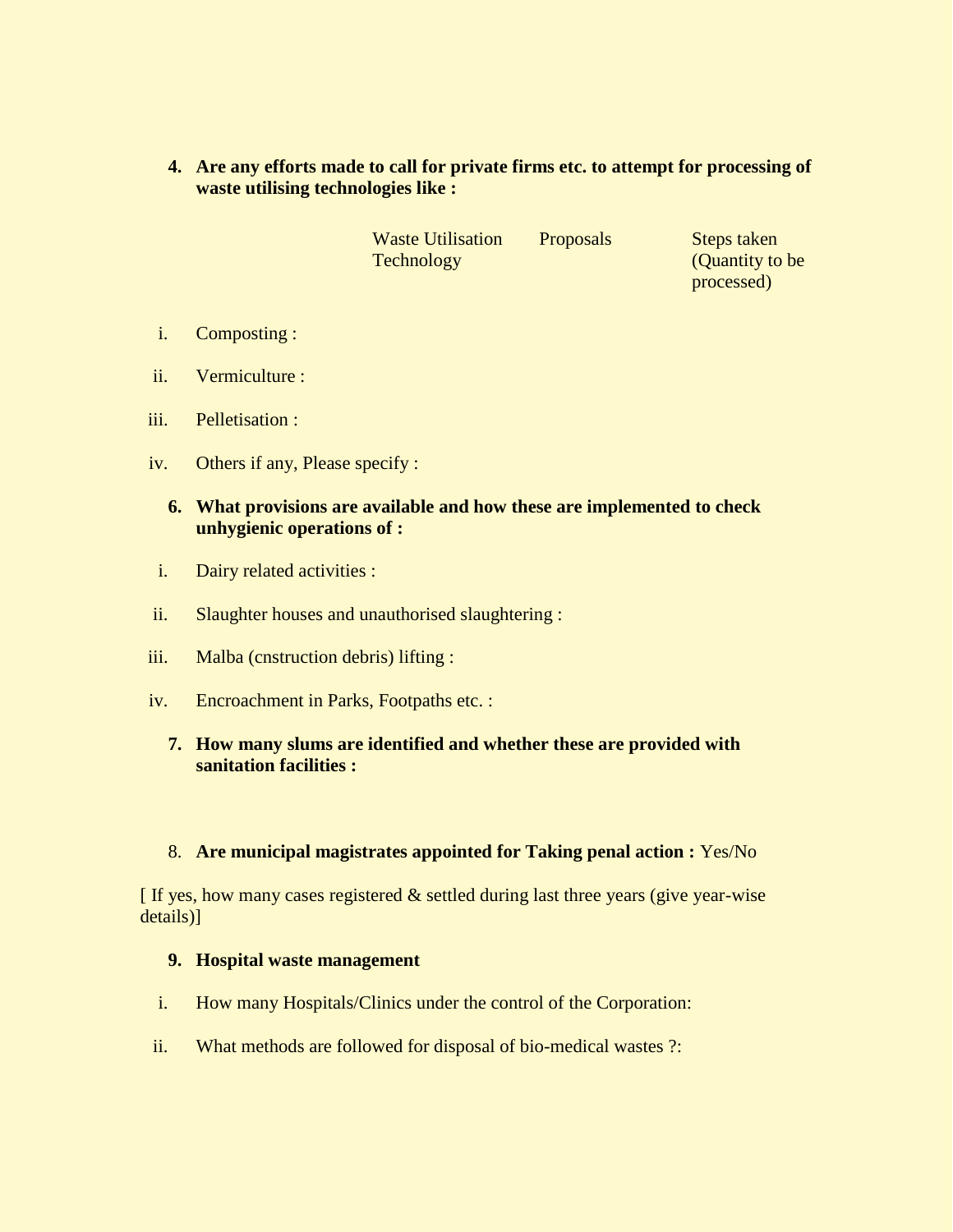**4. Are any efforts made to call for private firms etc. to attempt for processing of waste utilising technologies like :**

> Waste Utilisation Technology

Proposals Steps taken (Quantity to be processed)

- i. Composting :
- ii. Vermiculture :
- iii. Pelletisation :
- iv. Others if any, Please specify :

## **6. What provisions are available and how these are implemented to check unhygienic operations of :**

- i. Dairy related activities :
- ii. Slaughter houses and unauthorised slaughtering :
- iii. Malba (cnstruction debris) lifting :
- iv. Encroachment in Parks, Footpaths etc. :
	- **7. How many slums are identified and whether these are provided with sanitation facilities :**

## 8. **Are municipal magistrates appointed for Taking penal action :** Yes/No

 $\int$  If yes, how many cases registered  $\&$  settled during last three years (give year-wise details)]

#### **9. Hospital waste management**

- i. How many Hospitals/Clinics under the control of the Corporation:
- ii. What methods are followed for disposal of bio-medical wastes ?: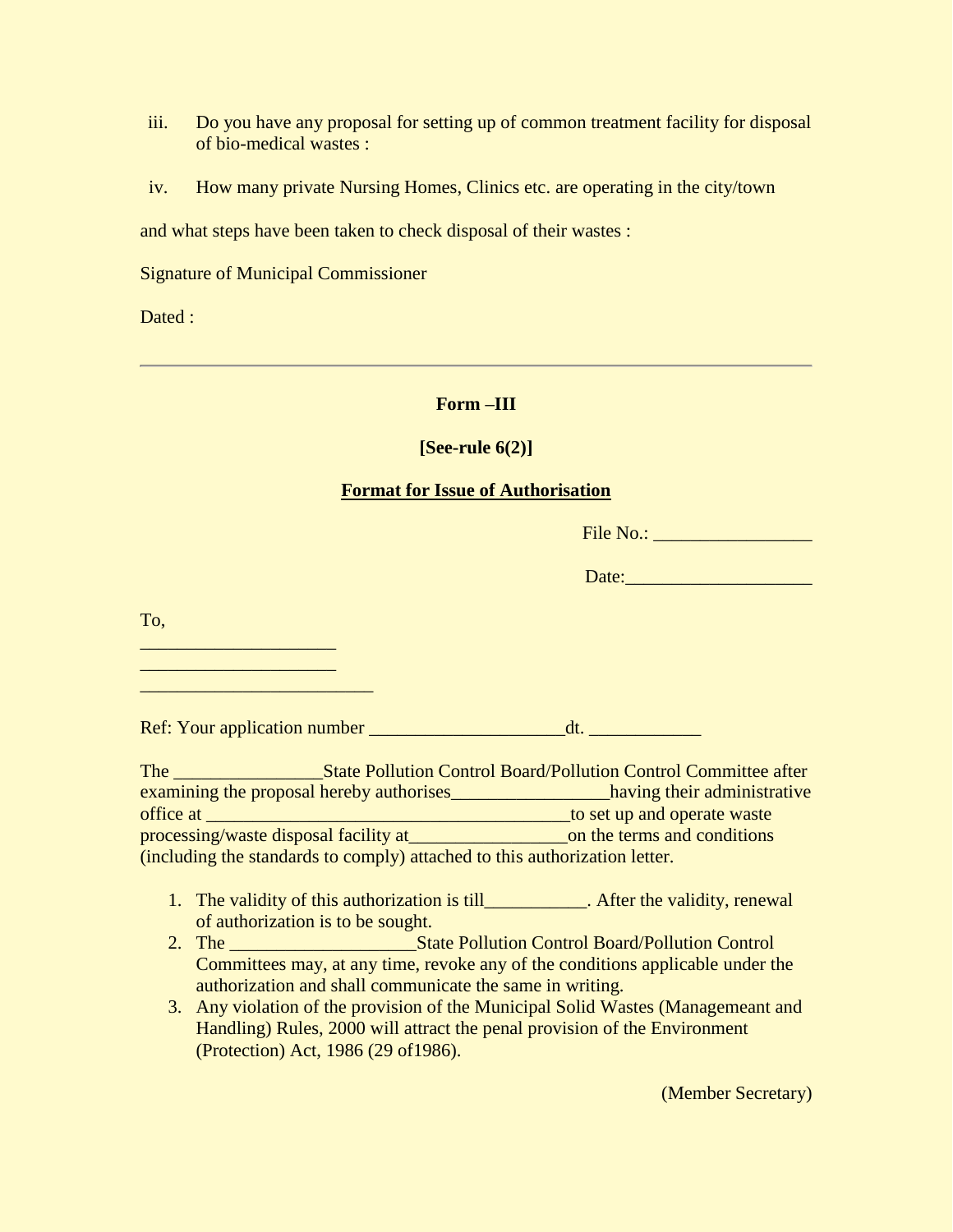- iii. Do you have any proposal for setting up of common treatment facility for disposal of bio-medical wastes :
- iv. How many private Nursing Homes, Clinics etc. are operating in the city/town

and what steps have been taken to check disposal of their wastes :

Signature of Municipal Commissioner

Dated :

## **Form –III**

## **[See-rule 6(2)]**

#### **Format for Issue of Authorisation**

| File No.: |  |
|-----------|--|
|           |  |

To,

\_\_\_\_\_\_\_\_\_\_\_\_\_\_\_\_\_\_\_\_\_ \_\_\_\_\_\_\_\_\_\_\_\_\_\_\_\_\_\_\_\_\_ \_\_\_\_\_\_\_\_\_\_\_\_\_\_\_\_\_\_\_\_\_\_\_\_\_

Ref: Your application number dt.

| The                                                                        |  | <b>State Pollution Control Board/Pollution Control Committee after</b> |
|----------------------------------------------------------------------------|--|------------------------------------------------------------------------|
| examining the proposal hereby authorises                                   |  | having their administrative                                            |
| office at                                                                  |  | to set up and operate waste                                            |
| processing/waste disposal facility at                                      |  | on the terms and conditions                                            |
| (including the standards to comply) attached to this authorization letter. |  |                                                                        |

- 1. The validity of this authorization is till\_\_\_\_\_\_\_\_\_\_\_. After the validity, renewal of authorization is to be sought.
- 2. The State Pollution Control Board/Pollution Control Committees may, at any time, revoke any of the conditions applicable under the authorization and shall communicate the same in writing.
- 3. Any violation of the provision of the Municipal Solid Wastes (Managemeant and Handling) Rules, 2000 will attract the penal provision of the Environment (Protection) Act, 1986 (29 of1986).

(Member Secretary)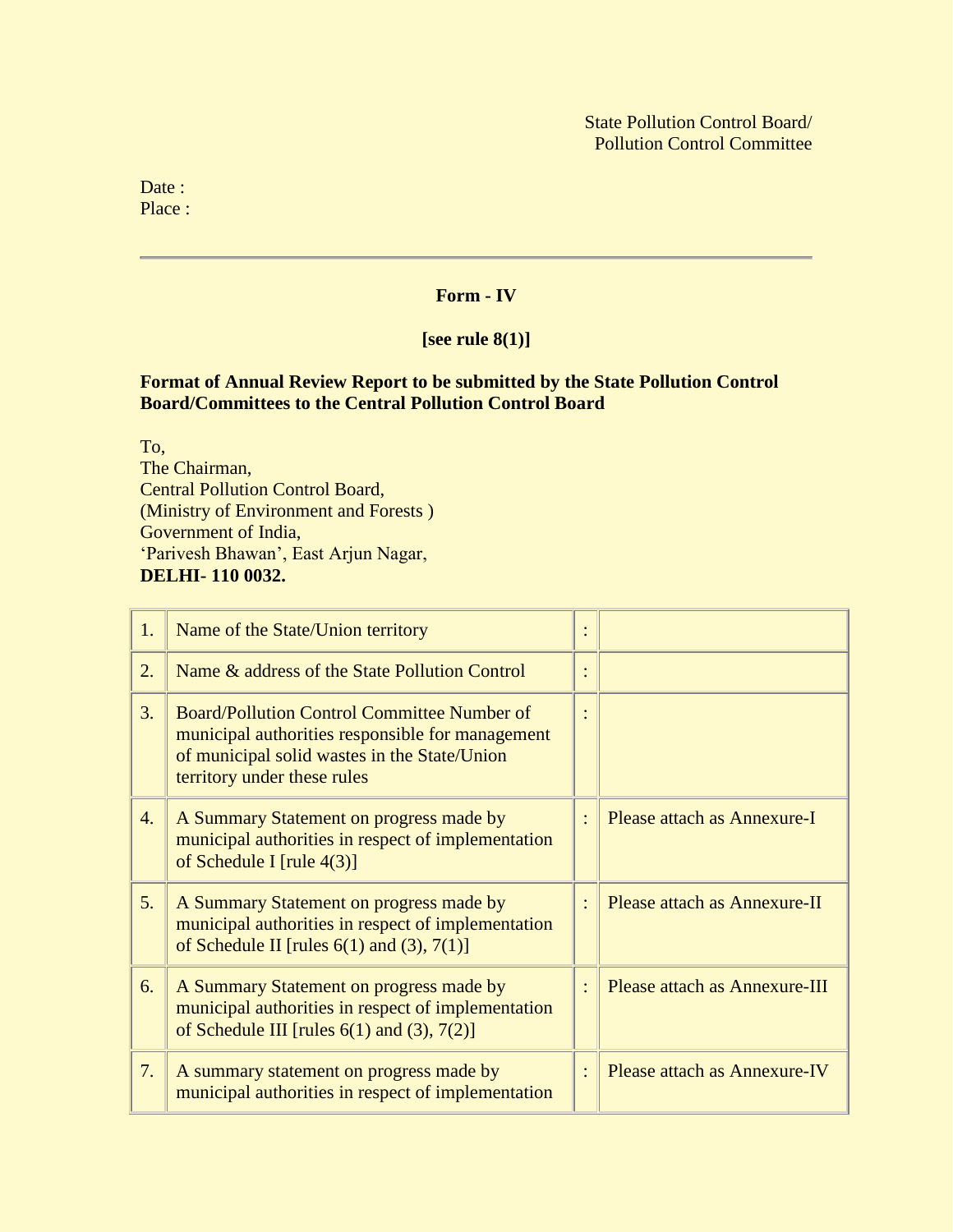Date : Place :

## **Form - IV**

## **[see rule 8(1)]**

#### **Format of Annual Review Report to be submitted by the State Pollution Control Board/Committees to the Central Pollution Control Board**

To, The Chairman, Central Pollution Control Board, (Ministry of Environment and Forests ) Government of India, 'Parivesh Bhawan', East Arjun Nagar, **DELHI- 110 0032.**

| 1.               | Name of the State/Union territory                                                                                                                                                     |                               |
|------------------|---------------------------------------------------------------------------------------------------------------------------------------------------------------------------------------|-------------------------------|
| 2.               | Name & address of the State Pollution Control                                                                                                                                         |                               |
| 3.               | <b>Board/Pollution Control Committee Number of</b><br>municipal authorities responsible for management<br>of municipal solid wastes in the State/Union<br>territory under these rules |                               |
| $\overline{4}$ . | A Summary Statement on progress made by<br>municipal authorities in respect of implementation<br>of Schedule I [rule $4(3)$ ]                                                         | Please attach as Annexure-I   |
| 5.               | A Summary Statement on progress made by<br>municipal authorities in respect of implementation<br>of Schedule II [rules $6(1)$ and $(3)$ , $7(1)$ ]                                    | Please attach as Annexure-II  |
| 6.               | A Summary Statement on progress made by<br>municipal authorities in respect of implementation<br>of Schedule III [rules $6(1)$ and $(3)$ , $7(2)$ ]                                   | Please attach as Annexure-III |
| 7.               | A summary statement on progress made by<br>municipal authorities in respect of implementation                                                                                         | Please attach as Annexure-IV  |